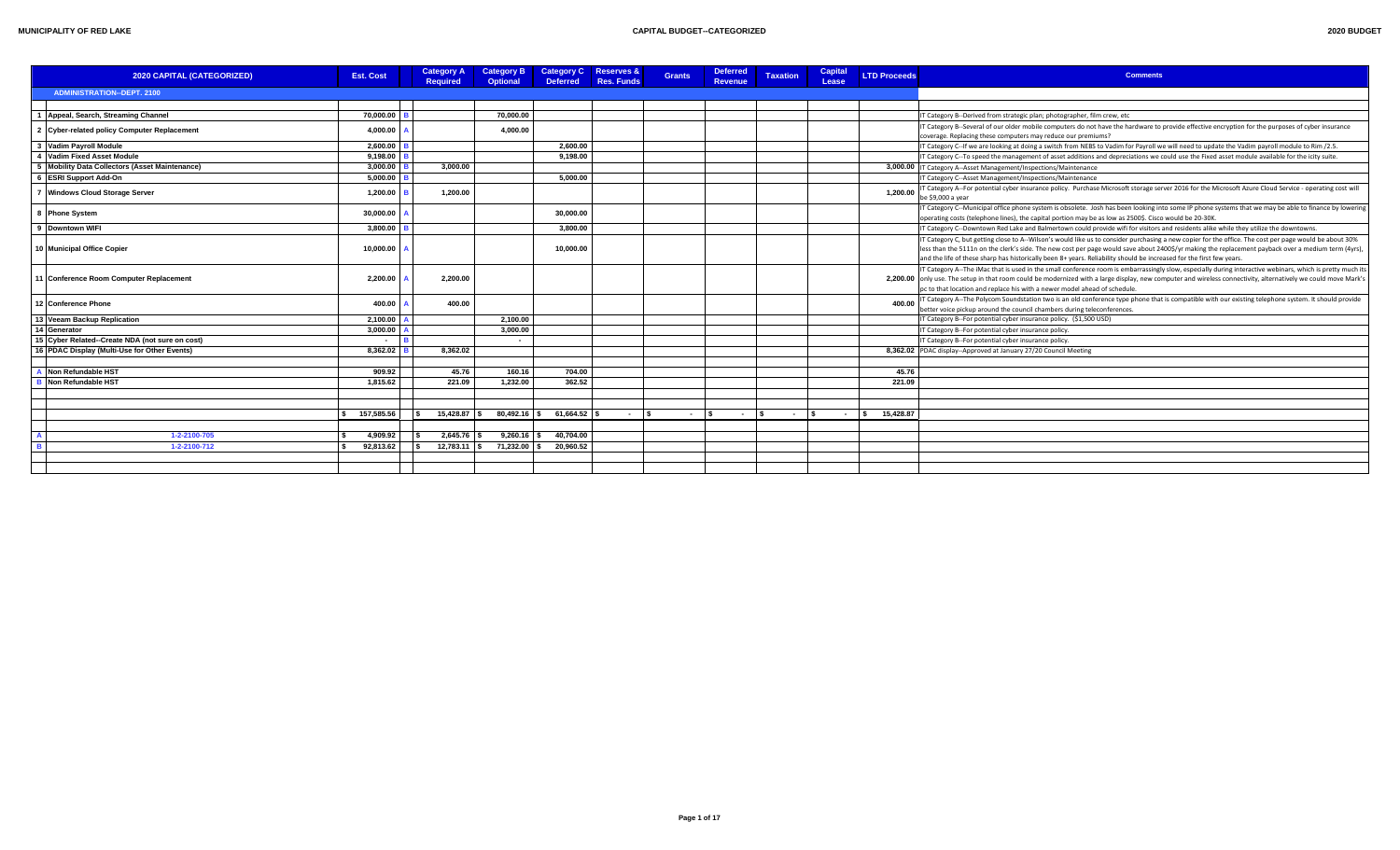| <b>2020 BUDGET</b> |  |
|--------------------|--|
|                    |  |

| 2020 CAPITAL (CATEGORIZED)                      | <b>Est. Cost</b> | <b>Category A</b><br><b>Required</b> | <b>Category B</b><br><b>Optional</b> | Category C Reserves &<br><b>Deferred</b> | Res. Funds | <b>Grants</b> | <b>Deferred</b><br><b>Revenue</b> | <b>Taxation</b> | Capital<br>Lease | <b>LTD Proceeds</b> | <b>Comments</b>                                                                                                                                                                                                                                                                                                                                                                                                                      |
|-------------------------------------------------|------------------|--------------------------------------|--------------------------------------|------------------------------------------|------------|---------------|-----------------------------------|-----------------|------------------|---------------------|--------------------------------------------------------------------------------------------------------------------------------------------------------------------------------------------------------------------------------------------------------------------------------------------------------------------------------------------------------------------------------------------------------------------------------------|
| <b>ADMINISTRATION--DEPT. 2100</b>               |                  |                                      |                                      |                                          |            |               |                                   |                 |                  |                     |                                                                                                                                                                                                                                                                                                                                                                                                                                      |
| Appeal, Search, Streaming Channel               | 70.000.00        |                                      | 70.000.00                            |                                          |            |               |                                   |                 |                  |                     | IT Category B--Derived from strategic plan; photographer, film crew, etc                                                                                                                                                                                                                                                                                                                                                             |
|                                                 |                  |                                      |                                      |                                          |            |               |                                   |                 |                  |                     | IT Category B--Several of our older mobile computers do not have the hardware to provide effective encryption for the purposes of cyber insurance                                                                                                                                                                                                                                                                                    |
| 2 Cyber-related policy Computer Replacement     | 4,000.00         |                                      | 4,000.00                             |                                          |            |               |                                   |                 |                  |                     | coverage. Replacing these computers may reduce our premiums?                                                                                                                                                                                                                                                                                                                                                                         |
| 3 Vadim Payroll Module                          | 2.600.00         |                                      |                                      | 2.600.00                                 |            |               |                                   |                 |                  |                     | IT Category C--If we are looking at doing a switch from NEBS to Vadim for Payroll we will need to update the Vadim payroll module to Rim /2.5.                                                                                                                                                                                                                                                                                       |
| Vadim Fixed Asset Module                        | $9.198.00$ B     |                                      |                                      | 9,198.00                                 |            |               |                                   |                 |                  |                     | IT Category C--To speed the management of asset additions and depreciations we could use the Fixed asset module available for the icity suite.                                                                                                                                                                                                                                                                                       |
| Mobility Data Collectors (Asset Maintenance)    | 3.000.00         | 3.000.00                             |                                      |                                          |            |               |                                   |                 |                  |                     | 3,000.00   IT Category A--Asset Management/Inspections/Maintenance                                                                                                                                                                                                                                                                                                                                                                   |
| <b>ESRI Support Add-On</b>                      | 5,000.00         |                                      |                                      | 5.000.00                                 |            |               |                                   |                 |                  |                     | IT Category C--Asset Management/Inspections/Maintenance                                                                                                                                                                                                                                                                                                                                                                              |
| <b>Windows Cloud Storage Server</b>             | 1.200.00         | 1.200.00                             |                                      |                                          |            |               |                                   |                 |                  | 1.200.00            | IT Category A--For potential cyber insurance policy. Purchase Microsoft storage server 2016 for the Microsoft Azure Cloud Service - operating cost will<br>be \$9,000 a year                                                                                                                                                                                                                                                         |
| 8 Phone System                                  | 30,000.00        |                                      |                                      | 30.000.00                                |            |               |                                   |                 |                  |                     | IT Category C--Municipal office phone system is obsolete. Josh has been looking into some IP phone systems that we may be able to finance by lowering<br>operating costs (telephone lines), the capital portion may be as low as 2500\$. Cisco would be 20-30K.                                                                                                                                                                      |
| 9 Downtown WIFI                                 | $3.800.00$       |                                      |                                      | 3.800.00                                 |            |               |                                   |                 |                  |                     | IT Category C--Downtown Red Lake and Balmertown could provide wifi for visitors and residents alike while they utilize the downtowns.                                                                                                                                                                                                                                                                                                |
| 10 Municipal Office Copier                      | 10,000.00        |                                      |                                      | 10,000.00                                |            |               |                                   |                 |                  |                     | IT Category C, but getting close to A-Wilson's would like us to consider purchasing a new copier for the office. The cost per page would be about 30%<br>less than the 5111n on the clerk's side. The new cost per page would save about 2400\$/yr making the replacement payback over a medium term (4yrs),<br>and the life of these sharp has historically been 8+ years. Reliability should be increased for the first few years. |
| 11 Conference Room Computer Replacement         | 2,200.00         | 2.200.00                             |                                      |                                          |            |               |                                   |                 |                  |                     | IT Category A--The iMac that is used in the small conference room is embarrassingly slow, especially during interactive webinars, which is pretty much its<br>2,200.00 only use. The setup in that room could be modernized with a large display, new computer and wireless connectivity, alternatively we could move Mark's<br>pc to that location and replace his with a newer model ahead of schedule.                            |
| 12 Conference Phone                             | 400.00           | 400.00                               |                                      |                                          |            |               |                                   |                 |                  | 400.00              | IT Category A--The Polycom Soundstation two is an old conference type phone that is compatible with our existing telephone system. It should provide<br>better voice pickup around the council chambers during teleconferences.                                                                                                                                                                                                      |
| 13 Veeam Backup Replication                     | 2,100.00         |                                      | 2,100.00                             |                                          |            |               |                                   |                 |                  |                     | IT Category B--For potential cyber insurance policy. (\$1,500 USD)                                                                                                                                                                                                                                                                                                                                                                   |
| 14 Generator                                    | 3.000.00         |                                      | 3.000.00                             |                                          |            |               |                                   |                 |                  |                     | IT Category B--For potential cyber insurance policy.                                                                                                                                                                                                                                                                                                                                                                                 |
| 15 Cyber Related--Create NDA (not sure on cost) | IR.<br>$\sim$    |                                      | $\sim$                               |                                          |            |               |                                   |                 |                  |                     | IT Category B--For potential cyber insurance policy.                                                                                                                                                                                                                                                                                                                                                                                 |
| 16 PDAC Display (Multi-Use for Other Events)    | 8,362.02         | 8.362.02                             |                                      |                                          |            |               |                                   |                 |                  |                     | 8,362.02 PDAC display--Approved at January 27/20 Council Meeting                                                                                                                                                                                                                                                                                                                                                                     |
| Non Refundable HST                              | 909.92           | 45.76                                | 160.16                               | 704.00                                   |            |               |                                   |                 |                  | 45.76               |                                                                                                                                                                                                                                                                                                                                                                                                                                      |
| Non Refundable HST                              | 1.815.62         | 221.09                               | 1.232.00                             | 362.52                                   |            |               |                                   |                 |                  | 221.09              |                                                                                                                                                                                                                                                                                                                                                                                                                                      |
|                                                 |                  |                                      |                                      |                                          |            |               |                                   |                 |                  |                     |                                                                                                                                                                                                                                                                                                                                                                                                                                      |
|                                                 | 157,585.56       |                                      | $15,428.87$ \$ 80,492.16 \$          | 61,664.52                                | $ \sim$    | $\sim$        | l s<br><b>Contract</b>            | $ \sqrt{5}$     | $\sim$           | 15,428.87<br>I S.   |                                                                                                                                                                                                                                                                                                                                                                                                                                      |
|                                                 |                  |                                      |                                      |                                          |            |               |                                   |                 |                  |                     |                                                                                                                                                                                                                                                                                                                                                                                                                                      |
| 1-2-2100-705                                    | 4,909.92         | 2,645.76                             | 9,260.16                             | 40,704.00                                |            |               |                                   |                 |                  |                     |                                                                                                                                                                                                                                                                                                                                                                                                                                      |
| 1-2-2100-712                                    | 92,813.62        |                                      | $12,783.11$ \$ 71,232.00 \$          | 20.960.52                                |            |               |                                   |                 |                  |                     |                                                                                                                                                                                                                                                                                                                                                                                                                                      |
|                                                 |                  |                                      |                                      |                                          |            |               |                                   |                 |                  |                     |                                                                                                                                                                                                                                                                                                                                                                                                                                      |
|                                                 |                  |                                      |                                      |                                          |            |               |                                   |                 |                  |                     |                                                                                                                                                                                                                                                                                                                                                                                                                                      |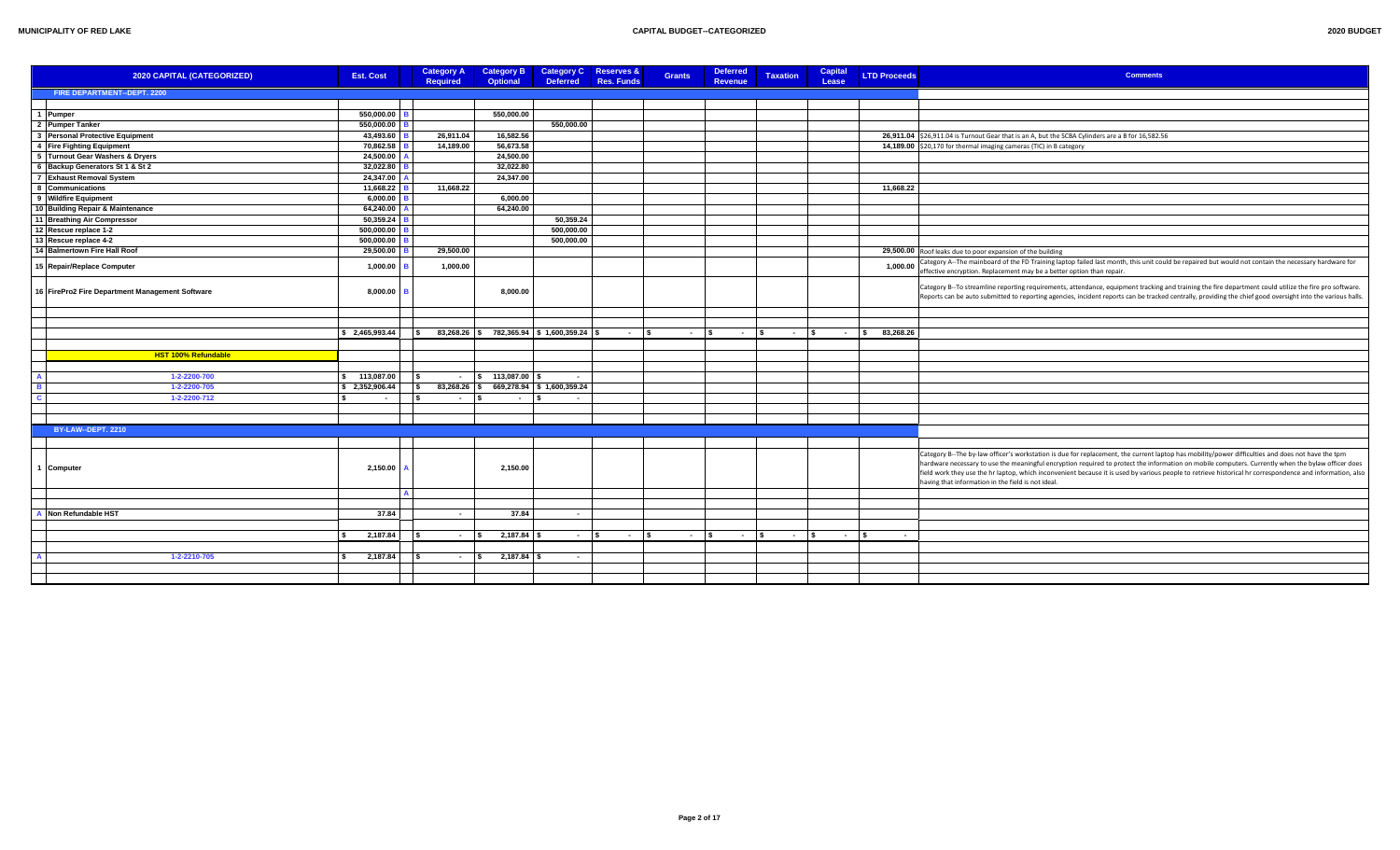| 2020 BUDGET |  |
|-------------|--|
|             |  |

| 2020 CAPITAL (CATEGORIZED)                            | <b>Est. Cost</b>        |     | <b>Category A</b><br><b>Required</b>     | <b>Category B</b><br>Optional | <b>Category C</b><br><b>Deferred</b> | <b>Reserves &amp;</b><br><b>Res. Funds</b> | <b>Grants</b> | <b>Deferred</b><br>Revenue | <b>Taxation</b> | <b>Capital</b><br>Lease | <b>LTD Proceeds</b> | <b>Comments</b>                                                                                                                                                                                                                                                                                                                                                                                                                                                                                                            |
|-------------------------------------------------------|-------------------------|-----|------------------------------------------|-------------------------------|--------------------------------------|--------------------------------------------|---------------|----------------------------|-----------------|-------------------------|---------------------|----------------------------------------------------------------------------------------------------------------------------------------------------------------------------------------------------------------------------------------------------------------------------------------------------------------------------------------------------------------------------------------------------------------------------------------------------------------------------------------------------------------------------|
| FIRE DEPARTMENT--DEPT. 2200                           |                         |     |                                          |                               |                                      |                                            |               |                            |                 |                         |                     |                                                                                                                                                                                                                                                                                                                                                                                                                                                                                                                            |
|                                                       |                         |     |                                          |                               |                                      |                                            |               |                            |                 |                         |                     |                                                                                                                                                                                                                                                                                                                                                                                                                                                                                                                            |
| 1 Pumper                                              | 550,000.00              |     |                                          | 550,000.00                    |                                      |                                            |               |                            |                 |                         |                     |                                                                                                                                                                                                                                                                                                                                                                                                                                                                                                                            |
| 2 Pumper Tanker                                       | 550,000.00              |     |                                          |                               | 550,000.00                           |                                            |               |                            |                 |                         |                     |                                                                                                                                                                                                                                                                                                                                                                                                                                                                                                                            |
| $\mathbf{3}$<br><b>Personal Protective Equipment</b>  | 43,493.60               |     | 26,911.04                                | 16,582.56                     |                                      |                                            |               |                            |                 |                         |                     | 26,911.04 \$26,911.04 is Turnout Gear that is an A, but the SCBA Cylinders are a B for 16,582.56                                                                                                                                                                                                                                                                                                                                                                                                                           |
| 4 Fire Fighting Equipment                             | 70,862.58               |     | 14,189.00                                | 56,673.58                     |                                      |                                            |               |                            |                 |                         |                     | 14,189.00 \$20,170 for thermal imaging cameras (TIC) in B category                                                                                                                                                                                                                                                                                                                                                                                                                                                         |
| <b>Turnout Gear Washers &amp; Dryers</b>              | 24,500.00               |     |                                          | 24,500.00                     |                                      |                                            |               |                            |                 |                         |                     |                                                                                                                                                                                                                                                                                                                                                                                                                                                                                                                            |
| 6 Backup Generators St 1 & St 2                       | 32,022.80               |     |                                          | 32,022.80                     |                                      |                                            |               |                            |                 |                         |                     |                                                                                                                                                                                                                                                                                                                                                                                                                                                                                                                            |
| 7 Exhaust Removal System                              | 24,347.00               |     |                                          | 24,347.00                     |                                      |                                            |               |                            |                 |                         |                     |                                                                                                                                                                                                                                                                                                                                                                                                                                                                                                                            |
| 8 Communications                                      | 11,668.22               |     | 11,668.22                                |                               |                                      |                                            |               |                            |                 |                         | 11,668.22           |                                                                                                                                                                                                                                                                                                                                                                                                                                                                                                                            |
| 9 Wildfire Equipment                                  | 6,000.00                |     |                                          | 6,000.00                      |                                      |                                            |               |                            |                 |                         |                     |                                                                                                                                                                                                                                                                                                                                                                                                                                                                                                                            |
| 10 Building Repair & Maintenance                      | 64,240.00               |     |                                          | 64,240.00                     |                                      |                                            |               |                            |                 |                         |                     |                                                                                                                                                                                                                                                                                                                                                                                                                                                                                                                            |
| 11 Breathing Air Compressor                           | 50,359.24               |     |                                          |                               | 50,359.24                            |                                            |               |                            |                 |                         |                     |                                                                                                                                                                                                                                                                                                                                                                                                                                                                                                                            |
| 12 Rescue replace 1-2                                 | 500,000.00              |     |                                          |                               | 500,000.00                           |                                            |               |                            |                 |                         |                     |                                                                                                                                                                                                                                                                                                                                                                                                                                                                                                                            |
| 13 Rescue replace 4-2<br>14 Balmertown Fire Hall Roof | 500,000.00<br>29,500.00 |     | 29,500.00                                |                               | 500,000.00                           |                                            |               |                            |                 |                         |                     |                                                                                                                                                                                                                                                                                                                                                                                                                                                                                                                            |
|                                                       |                         |     |                                          |                               |                                      |                                            |               |                            |                 |                         |                     | 29,500.00 Roof leaks due to poor expansion of the building                                                                                                                                                                                                                                                                                                                                                                                                                                                                 |
| 15 Repair/Replace Computer                            | 1,000.00                |     | 1,000.00                                 |                               |                                      |                                            |               |                            |                 |                         | 1,000.00            | Category A--The mainboard of the FD Training laptop failed last month, this unit could be repaired but would not contain the necessary hardware for<br>effective encryption. Replacement may be a better option than repair.                                                                                                                                                                                                                                                                                               |
| 16 FirePro2 Fire Department Management Software       | 8,000.00                |     |                                          | 8,000.00                      |                                      |                                            |               |                            |                 |                         |                     | Category B-To streamline reporting requirements, attendance, equipment tracking and training the fire department could utilize the fire pro software.<br>Reports can be auto submitted to reporting agencies, incident reports can be tracked centrally, providing the chief good oversight into the various halls.                                                                                                                                                                                                        |
|                                                       |                         |     |                                          |                               |                                      |                                            |               |                            |                 |                         |                     |                                                                                                                                                                                                                                                                                                                                                                                                                                                                                                                            |
|                                                       |                         |     |                                          |                               |                                      |                                            |               |                            |                 |                         |                     |                                                                                                                                                                                                                                                                                                                                                                                                                                                                                                                            |
|                                                       | \$2,465,993.44          |     | 83,268.26 \$782,365.94 \$1,600,359.24 \$ |                               |                                      | $\sim$ $\sim$                              | $ \vert$ \$   | $ \sqrt{2}$                | $ \sqrt{s}$     | $-$ \$                  | 83,268.26           |                                                                                                                                                                                                                                                                                                                                                                                                                                                                                                                            |
|                                                       |                         |     |                                          |                               |                                      |                                            |               |                            |                 |                         |                     |                                                                                                                                                                                                                                                                                                                                                                                                                                                                                                                            |
| HST 100% Refundable                                   |                         |     |                                          |                               |                                      |                                            |               |                            |                 |                         |                     |                                                                                                                                                                                                                                                                                                                                                                                                                                                                                                                            |
|                                                       |                         |     |                                          |                               |                                      |                                            |               |                            |                 |                         |                     |                                                                                                                                                                                                                                                                                                                                                                                                                                                                                                                            |
| 1-2-2200-700                                          | \$ 113,087.00           |     | $-$ \$ 113,087.00                        |                               | $\sim$                               |                                            |               |                            |                 |                         |                     |                                                                                                                                                                                                                                                                                                                                                                                                                                                                                                                            |
| 1-2-2200-705                                          | \$2,352,906.44          | ۱s  | $83,268.26$ \$                           |                               | 669,278.94 \$1,600,359.24            |                                            |               |                            |                 |                         |                     |                                                                                                                                                                                                                                                                                                                                                                                                                                                                                                                            |
| 1-2-2200-712                                          | $\sim$                  | ۱s  | l s<br>$\sim$                            | $\sim$ $-$                    |                                      |                                            |               |                            |                 |                         |                     |                                                                                                                                                                                                                                                                                                                                                                                                                                                                                                                            |
|                                                       |                         |     |                                          |                               |                                      |                                            |               |                            |                 |                         |                     |                                                                                                                                                                                                                                                                                                                                                                                                                                                                                                                            |
|                                                       |                         |     |                                          |                               |                                      |                                            |               |                            |                 |                         |                     |                                                                                                                                                                                                                                                                                                                                                                                                                                                                                                                            |
| BY-LAW--DEPT. 2210                                    |                         |     |                                          |                               |                                      |                                            |               |                            |                 |                         |                     |                                                                                                                                                                                                                                                                                                                                                                                                                                                                                                                            |
|                                                       |                         |     |                                          |                               |                                      |                                            |               |                            |                 |                         |                     |                                                                                                                                                                                                                                                                                                                                                                                                                                                                                                                            |
| Computer                                              | 2,150.00                |     |                                          | 2,150.00                      |                                      |                                            |               |                            |                 |                         |                     | Category B--The by-law officer's workstation is due for replacement, the current laptop has mobility/power difficulties and does not have the tpm<br>hardware necessary to use the meaningful encryption required to protect the information on mobile computers. Currently when the bylaw officer does<br>field work they use the hr laptop, which inconvenient because it is used by various people to retrieve historical hr correspondence and information, also<br>having that information in the field is not ideal. |
|                                                       |                         |     |                                          |                               |                                      |                                            |               |                            |                 |                         |                     |                                                                                                                                                                                                                                                                                                                                                                                                                                                                                                                            |
|                                                       |                         |     |                                          |                               |                                      |                                            |               |                            |                 |                         |                     |                                                                                                                                                                                                                                                                                                                                                                                                                                                                                                                            |
| Non Refundable HST                                    | 37.84                   |     | $\sim$                                   | 37.84                         | $\sim 10^{-1}$                       |                                            |               |                            |                 |                         |                     |                                                                                                                                                                                                                                                                                                                                                                                                                                                                                                                            |
|                                                       |                         |     |                                          |                               |                                      |                                            |               |                            |                 |                         |                     |                                                                                                                                                                                                                                                                                                                                                                                                                                                                                                                            |
|                                                       | 2,187.84                |     | $ \vert$ \$                              | $2,187.84$ \$                 | $-$ s                                | $ \sqrt{s}$                                | $ s$          | $ \sqrt{5}$                | $ \sqrt{s}$     | $ \sqrt{s}$             | $\sim$              |                                                                                                                                                                                                                                                                                                                                                                                                                                                                                                                            |
|                                                       |                         |     |                                          |                               |                                      |                                            |               |                            |                 |                         |                     |                                                                                                                                                                                                                                                                                                                                                                                                                                                                                                                            |
| 1-2-2210-705                                          | 2,187.84                | ∣\$ | $ \sqrt{5}$                              | $2,187.84$ \$                 | $\sim$                               |                                            |               |                            |                 |                         |                     |                                                                                                                                                                                                                                                                                                                                                                                                                                                                                                                            |
|                                                       |                         |     |                                          |                               |                                      |                                            |               |                            |                 |                         |                     |                                                                                                                                                                                                                                                                                                                                                                                                                                                                                                                            |
|                                                       |                         |     |                                          |                               |                                      |                                            |               |                            |                 |                         |                     |                                                                                                                                                                                                                                                                                                                                                                                                                                                                                                                            |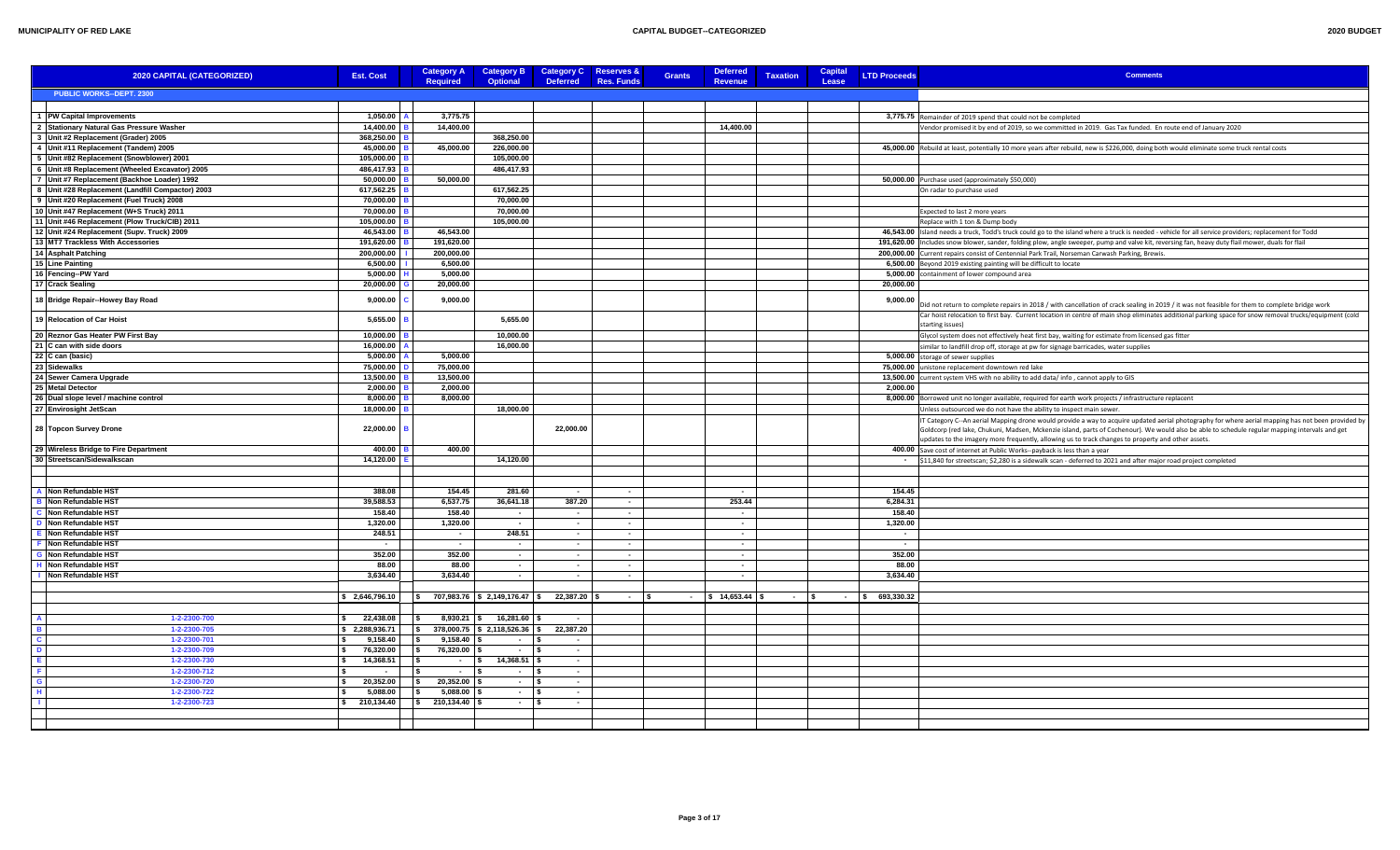| 2020 BUDGET |  |
|-------------|--|

| 2020 CAPITAL (CATEGORIZED)                       | <b>Est. Cost</b>         | <b>Category A</b><br><b>Required</b>                                          | <b>Category B</b><br><b>Optional</b> | <b>Category C</b><br><b>Deferred</b> | <b>Reserves &amp;</b><br><b>Res. Funds</b> | <b>Grants</b> | <b>Deferred</b><br>Revenue | <b>Taxation</b> | Capital<br>Lease | <b>LTD Proceeds</b> | <b>Comments</b>                                                                                                                                                                                                                                                                                                                                                                                           |
|--------------------------------------------------|--------------------------|-------------------------------------------------------------------------------|--------------------------------------|--------------------------------------|--------------------------------------------|---------------|----------------------------|-----------------|------------------|---------------------|-----------------------------------------------------------------------------------------------------------------------------------------------------------------------------------------------------------------------------------------------------------------------------------------------------------------------------------------------------------------------------------------------------------|
| <b>PUBLIC WORKS--DEPT. 2300</b>                  |                          |                                                                               |                                      |                                      |                                            |               |                            |                 |                  |                     |                                                                                                                                                                                                                                                                                                                                                                                                           |
|                                                  |                          |                                                                               |                                      |                                      |                                            |               |                            |                 |                  |                     |                                                                                                                                                                                                                                                                                                                                                                                                           |
| 1   PW Capital Improvements                      | 1,050.00                 | 3,775.75                                                                      |                                      |                                      |                                            |               |                            |                 |                  |                     | 3,775.75 Remainder of 2019 spend that could not be completed                                                                                                                                                                                                                                                                                                                                              |
| 2 Stationary Natural Gas Pressure Washer         | 14.400.00                | 14.400.00                                                                     |                                      |                                      |                                            |               | 14,400.00                  |                 |                  |                     | Vendor promised it by end of 2019, so we committed in 2019. Gas Tax funded. En route end of January 2020                                                                                                                                                                                                                                                                                                  |
| 3 Unit #2 Replacement (Grader) 2005              | 368,250.00               |                                                                               | 368,250.00                           |                                      |                                            |               |                            |                 |                  |                     |                                                                                                                                                                                                                                                                                                                                                                                                           |
| 4 Unit #11 Replacement (Tandem) 2005             | 45,000.00                | 45.000.00                                                                     | 226,000.00                           |                                      |                                            |               |                            |                 |                  |                     | 45,000.00 Rebuild at least, potentially 10 more years after rebuild, new is \$226,000, doing both would eliminate some truck rental costs                                                                                                                                                                                                                                                                 |
| 5 Unit #82 Replacement (Snowblower) 2001         | 105,000.00               |                                                                               | 105,000.00                           |                                      |                                            |               |                            |                 |                  |                     |                                                                                                                                                                                                                                                                                                                                                                                                           |
| 6 Unit #8 Replacement (Wheeled Excavator) 2005   | 486.417.93               |                                                                               | 486,417.93                           |                                      |                                            |               |                            |                 |                  |                     |                                                                                                                                                                                                                                                                                                                                                                                                           |
| 7 Unit #7 Replacement (Backhoe Loader) 1992      | 50,000.00                | 50,000.00                                                                     |                                      |                                      |                                            |               |                            |                 |                  |                     | 50,000.00 Purchase used (approximately \$50,000)                                                                                                                                                                                                                                                                                                                                                          |
| 8 Unit #28 Replacement (Landfill Compactor) 2003 | 617,562.25               |                                                                               | 617,562.25                           |                                      |                                            |               |                            |                 |                  |                     | On radar to purchase used                                                                                                                                                                                                                                                                                                                                                                                 |
| 9 Unit #20 Replacement (Fuel Truck) 2008         | 70,000.00                |                                                                               | 70,000.00                            |                                      |                                            |               |                            |                 |                  |                     |                                                                                                                                                                                                                                                                                                                                                                                                           |
| 10 Unit #47 Replacement (W+S Truck) 2011         | 70,000.00                |                                                                               | 70,000.00                            |                                      |                                            |               |                            |                 |                  |                     | Expected to last 2 more years                                                                                                                                                                                                                                                                                                                                                                             |
| 11 Unit #46 Replacement (Plow Truck/CIB) 2011    | 105,000.00               |                                                                               | 105,000.00                           |                                      |                                            |               |                            |                 |                  |                     | Replace with 1 ton & Dump body                                                                                                                                                                                                                                                                                                                                                                            |
| 12 Unit #24 Replacement (Supv. Truck) 2009       | 46.543.00                | 46.543.00                                                                     |                                      |                                      |                                            |               |                            |                 |                  |                     | 46,543.00 Island needs a truck, Todd's truck could go to the island where a truck is needed - vehicle for all service providers; replacement for Todd                                                                                                                                                                                                                                                     |
| 13 MT7 Trackless With Accessories                | 191,620.00               | 191,620.00                                                                    |                                      |                                      |                                            |               |                            |                 |                  |                     | 191,620.00  Includes snow blower, sander, folding plow, angle sweeper, pump and valve kit, reversing fan, heavy duty flail mower, duals for flail                                                                                                                                                                                                                                                         |
| 14 Asphalt Patching                              | 200,000.00               | 200.000.00                                                                    |                                      |                                      |                                            |               |                            |                 |                  |                     | 200,000.00 Current repairs consist of Centennial Park Trail, Norseman Carwash Parking, Brewis.                                                                                                                                                                                                                                                                                                            |
| 15 Line Painting                                 | 6.500.00                 | 6.500.00                                                                      |                                      |                                      |                                            |               |                            |                 |                  |                     | 6,500.00 Beyond 2019 existing painting will be difficult to locate                                                                                                                                                                                                                                                                                                                                        |
| 16 Fencing--PW Yard                              | 5,000.00                 | 5,000.00                                                                      |                                      |                                      |                                            |               |                            |                 |                  |                     | 5,000.00 containment of lower compound area                                                                                                                                                                                                                                                                                                                                                               |
| 17 Crack Sealing                                 | 20.000.00                | 20.000.00                                                                     |                                      |                                      |                                            |               |                            |                 |                  | 20.000.00           |                                                                                                                                                                                                                                                                                                                                                                                                           |
| 18 Bridge Repair--Howey Bay Road                 | 9,000.00                 | 9,000.00                                                                      |                                      |                                      |                                            |               |                            |                 |                  | 9,000.00            | Did not return to complete repairs in 2018 / with cancellation of crack sealing in 2019 / it was not feasible for them to complete bridge work                                                                                                                                                                                                                                                            |
| 19 Relocation of Car Hoist                       | 5,655.00                 |                                                                               | 5.655.00                             |                                      |                                            |               |                            |                 |                  |                     | Car hoist relocation to first bay. Current location in centre of main shop eliminates additional parking space for snow removal trucks/equipment (cold                                                                                                                                                                                                                                                    |
| 20 Reznor Gas Heater PW First Bay                | 10,000.00                |                                                                               | 10,000.00                            |                                      |                                            |               |                            |                 |                  |                     | starting issues)<br>Glycol system does not effectively heat first bay, waiting for estimate from licensed gas fitter                                                                                                                                                                                                                                                                                      |
| 21 C can with side doors                         | 16,000.00                |                                                                               | 16.000.00                            |                                      |                                            |               |                            |                 |                  |                     | similar to landfill drop off, storage at pw for signage barricades, water supplies                                                                                                                                                                                                                                                                                                                        |
| 22 C can (basic)                                 | 5,000.00                 | 5,000.00                                                                      |                                      |                                      |                                            |               |                            |                 |                  |                     | 5,000.00 storage of sewer supplies                                                                                                                                                                                                                                                                                                                                                                        |
| 23 Sidewalks                                     | 75.000.00                | 75.000.00                                                                     |                                      |                                      |                                            |               |                            |                 |                  |                     | 75,000.00 unistone replacement downtown red lake                                                                                                                                                                                                                                                                                                                                                          |
| 24 Sewer Camera Upgrade                          | 13,500.00                | 13,500.00                                                                     |                                      |                                      |                                            |               |                            |                 |                  |                     | 13,500.00 current system VHS with no ability to add data/ info, cannot apply to GIS                                                                                                                                                                                                                                                                                                                       |
| 25 Metal Detector                                | 2,000.00                 | 2.000.00                                                                      |                                      |                                      |                                            |               |                            |                 |                  | 2,000.00            |                                                                                                                                                                                                                                                                                                                                                                                                           |
| 26 Dual slope level / machine control            | 8.000.00                 | 8.000.00                                                                      |                                      |                                      |                                            |               |                            |                 |                  |                     | 8,000.00 Borrowed unit no longer available, required for earth work projects / infrastructure replacent                                                                                                                                                                                                                                                                                                   |
| 27 Envirosight JetScan                           | 18,000.00                |                                                                               | 18,000.00                            |                                      |                                            |               |                            |                 |                  |                     | Unless outsourced we do not have the ability to inspect main sewer.                                                                                                                                                                                                                                                                                                                                       |
| 28 Topcon Survey Drone                           | 22,000.00                |                                                                               |                                      | 22,000.00                            |                                            |               |                            |                 |                  |                     | T Category C--An aerial Mapping drone would provide a way to acquire updated aerial photography for where aerial mapping has not been provided by<br>Goldcorp (red lake, Chukuni, Madsen, Mckenzie island, parts of Cochenour). We would also be able to schedule regular mapping intervals and get<br>ipdates to the imagery more frequently, allowing us to track changes to property and other assets. |
| 29 Wireless Bridge to Fire Department            | 400.00                   | 400.00                                                                        |                                      |                                      |                                            |               |                            |                 |                  |                     | 400.00 Save cost of internet at Public Works--payback is less than a year                                                                                                                                                                                                                                                                                                                                 |
| 30 Streetscan/Sidewalkscan                       | 14.120.00                |                                                                               | 14.120.00                            |                                      |                                            |               |                            |                 |                  |                     | - \$11,840 for streetscan; \$2,280 is a sidewalk scan - deferred to 2021 and after major road project completed                                                                                                                                                                                                                                                                                           |
|                                                  |                          |                                                                               |                                      |                                      |                                            |               |                            |                 |                  |                     |                                                                                                                                                                                                                                                                                                                                                                                                           |
| Non Refundable HST                               | 388.08                   | 154.45                                                                        | 281.60                               | $\sim$ $-$                           | $\sim$                                     |               | $\sim$                     |                 |                  | 154.45              |                                                                                                                                                                                                                                                                                                                                                                                                           |
| Non Refundable HST                               | 39.588.53                | 6.537.75                                                                      | 36.641.18                            | 387.20                               | $\sim$                                     |               | 253.44                     |                 |                  | 6.284.31            |                                                                                                                                                                                                                                                                                                                                                                                                           |
| Non Refundable HST                               | 158.40                   | 158.40                                                                        | $\sim$                               | $\sim$                               | $\sim$                                     |               | $\sim$                     |                 |                  | 158.40              |                                                                                                                                                                                                                                                                                                                                                                                                           |
| Non Refundable HST                               | 1,320.00                 | 1,320.00                                                                      | $\sim$                               | $\sim$                               | $\sim$                                     |               | $\sim$                     |                 |                  | 1,320.00            |                                                                                                                                                                                                                                                                                                                                                                                                           |
| Non Refundable HST                               | 248.51                   | $\sim$                                                                        | 248.51                               | $\sim$                               | $\sim$                                     |               | $\sim$                     |                 |                  | $\sim$              |                                                                                                                                                                                                                                                                                                                                                                                                           |
| Non Refundable HST                               |                          | $\sim$                                                                        | $\sim$                               | $\sim$                               | $\sim$                                     |               | $\sim$                     |                 |                  | $\sim$              |                                                                                                                                                                                                                                                                                                                                                                                                           |
| Non Refundable HST                               | 352.00                   | 352.00                                                                        | $\sim$                               | $\sim$                               | $\sim$                                     |               | $\sim$                     |                 |                  | 352.00              |                                                                                                                                                                                                                                                                                                                                                                                                           |
| Non Refundable HST                               | 88.00                    | 88.00                                                                         | $\sim$                               | $\sim$                               | $\sim$                                     |               | $\sim$                     |                 |                  | 88.00               |                                                                                                                                                                                                                                                                                                                                                                                                           |
| Non Refundable HST                               | 3.634.40                 | 3.634.40                                                                      | $\sim$                               | $\sim$                               | $\sim$                                     |               | $\sim$                     |                 |                  | 3.634.40            |                                                                                                                                                                                                                                                                                                                                                                                                           |
|                                                  |                          |                                                                               |                                      |                                      |                                            |               |                            |                 |                  |                     |                                                                                                                                                                                                                                                                                                                                                                                                           |
|                                                  | \$2,646,796.10           | $\vert$ \$ 707,983.76 $\vert$ \$ 2,149,176.47 $\vert$ \$ 22,387.20 $\vert$ \$ |                                      |                                      | $ \sqrt{5}$                                |               | $-$ \$ 14,653.44 \$        | $-$ \$          |                  | $-$ \$ 693,330.32   |                                                                                                                                                                                                                                                                                                                                                                                                           |
|                                                  |                          |                                                                               |                                      |                                      |                                            |               |                            |                 |                  |                     |                                                                                                                                                                                                                                                                                                                                                                                                           |
| 1-2-2300-700                                     | 22,438.08                | $8,930.21$ \$<br>١s                                                           | 16,281.60                            | $\sim$                               |                                            |               |                            |                 |                  |                     |                                                                                                                                                                                                                                                                                                                                                                                                           |
| 1-2-2300-705                                     | \$2,288,936.71           | ls.                                                                           | 378,000.75 \$2,118,526.36            | 22,387.20<br>∣\$.                    |                                            |               |                            |                 |                  |                     |                                                                                                                                                                                                                                                                                                                                                                                                           |
| 1-2-2300-701                                     | 9,158.40<br>76.320.00    | 9,158.40<br>$\sqrt{ }$                                                        | $\sim$                               | $\sim$                               |                                            |               |                            |                 |                  |                     |                                                                                                                                                                                                                                                                                                                                                                                                           |
| 1-2-2300-709                                     |                          | 76,320.00<br>ls.                                                              | $\sim$                               | $\sim$                               |                                            |               |                            |                 |                  |                     |                                                                                                                                                                                                                                                                                                                                                                                                           |
| 1-2-2300-730<br>1-2-2300-712                     | 14,368.51                | $\sim$<br>$\sim$                                                              | 14,368.51<br>$\sim$                  | $\sim$<br>$\sim$ $-$                 |                                            |               |                            |                 |                  |                     |                                                                                                                                                                                                                                                                                                                                                                                                           |
| 1-2-2300-720                                     | 20.352.00                | l S<br>20,352.00<br>l S                                                       | $\sim$                               | - \$<br>$\sim$                       |                                            |               |                            |                 |                  |                     |                                                                                                                                                                                                                                                                                                                                                                                                           |
| 1-2-2300-722                                     | 5,088.00                 | 5,088.00<br>l S                                                               | $ \sqrt{ }$                          | $\sim$ $\sim$                        |                                            |               |                            |                 |                  |                     |                                                                                                                                                                                                                                                                                                                                                                                                           |
| 1-2-2300-723                                     | 210,134.40<br>$\epsilon$ | $\frac{1}{2}$ 210,134.40 \$                                                   | $  s $                               | $\sim$                               |                                            |               |                            |                 |                  |                     |                                                                                                                                                                                                                                                                                                                                                                                                           |
|                                                  |                          |                                                                               |                                      |                                      |                                            |               |                            |                 |                  |                     |                                                                                                                                                                                                                                                                                                                                                                                                           |
|                                                  |                          |                                                                               |                                      |                                      |                                            |               |                            |                 |                  |                     |                                                                                                                                                                                                                                                                                                                                                                                                           |
|                                                  |                          |                                                                               |                                      |                                      |                                            |               |                            |                 |                  |                     |                                                                                                                                                                                                                                                                                                                                                                                                           |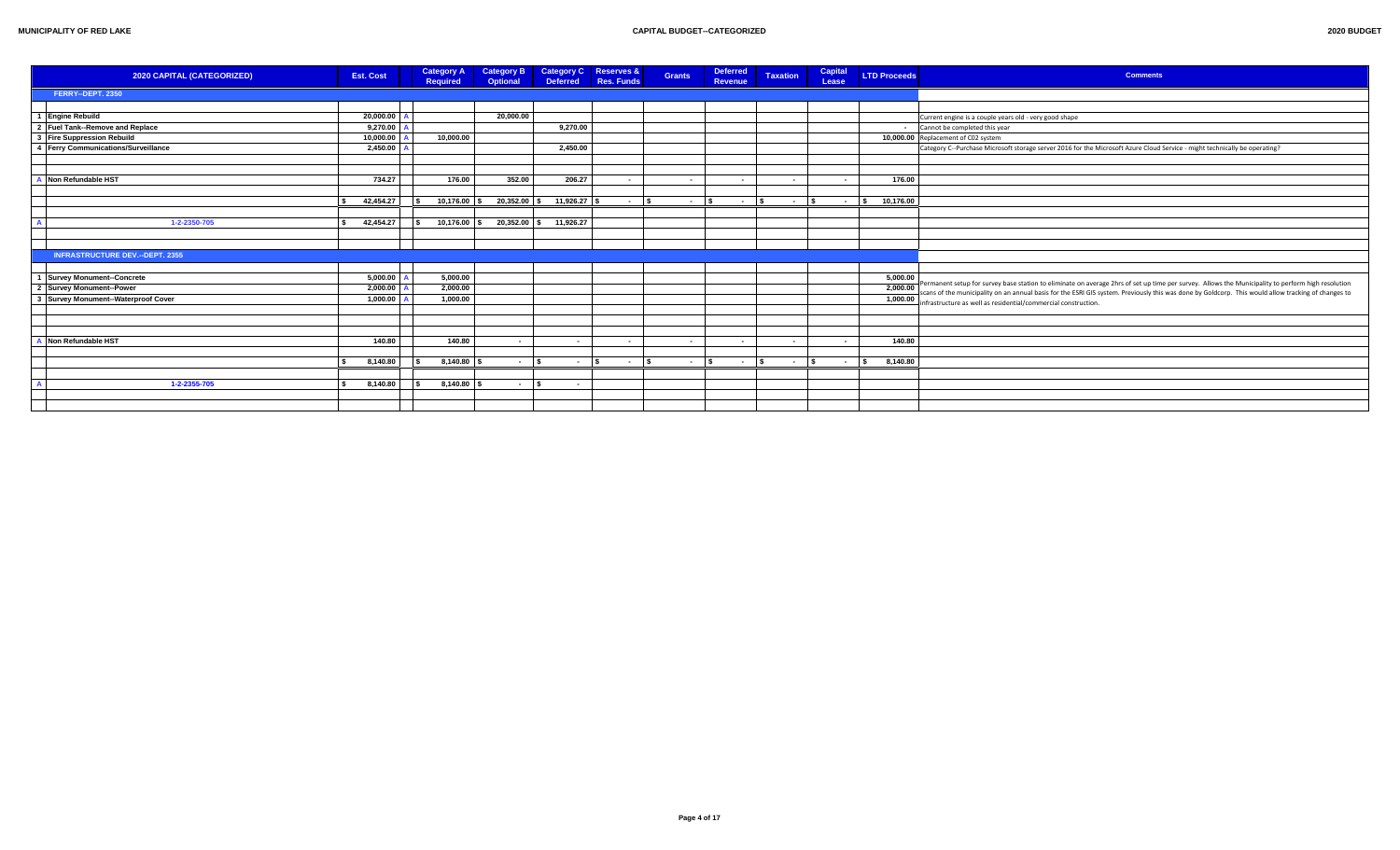| 2020 BUDGET |  |  |
|-------------|--|--|
|             |  |  |

| 2020 CAPITAL (CATEGORIZED)             | <b>Est. Cost</b> | <b>Category A</b><br>Required | <b>Category B</b><br><b>Optional</b> |                        | Category C Reserves &<br>Deferred Res. Funds | <b>Grants</b>    | <b>Deferred</b><br>Revenue          | <b>Taxation</b>          | Capital<br>Lease | <b>LTD Proceeds</b>     | <b>Comments</b>                                                                                                                                        |
|----------------------------------------|------------------|-------------------------------|--------------------------------------|------------------------|----------------------------------------------|------------------|-------------------------------------|--------------------------|------------------|-------------------------|--------------------------------------------------------------------------------------------------------------------------------------------------------|
| FERRY--DEPT. 2350                      |                  |                               |                                      |                        |                                              |                  |                                     |                          |                  |                         |                                                                                                                                                        |
|                                        |                  |                               |                                      |                        |                                              |                  |                                     |                          |                  |                         |                                                                                                                                                        |
| <b>Engine Rebuild</b>                  | 20,000.00        |                               | 20.000.00                            |                        |                                              |                  |                                     |                          |                  |                         | Current engine is a couple years old - very good shape                                                                                                 |
| 2 Fuel Tank--Remove and Replace        | 9,270.00         |                               |                                      | 9,270.00               |                                              |                  |                                     |                          |                  |                         | Cannot be completed this year                                                                                                                          |
| 3 Fire Suppression Rebuild             | 10,000.00        | 10,000.00                     |                                      |                        |                                              |                  |                                     |                          |                  |                         | 10,000.00 Replacement of C02 system                                                                                                                    |
| 4 Ferry Communications/Surveillance    | $2,450.00$ /     |                               |                                      | 2,450.00               |                                              |                  |                                     |                          |                  |                         | Category C--Purchase Microsoft storage server 2016 for the Microsoft Azure Cloud Service - might technically be operating?                             |
|                                        |                  |                               |                                      |                        |                                              |                  |                                     |                          |                  |                         |                                                                                                                                                        |
|                                        |                  |                               |                                      |                        |                                              |                  |                                     |                          |                  |                         |                                                                                                                                                        |
| Non Refundable HST                     | 734.27           | 176.00                        | 352.00                               | 206.27                 |                                              | $\sim$           | $\sim$                              | $\overline{\phantom{a}}$ | $\sim$           | 176.00                  |                                                                                                                                                        |
|                                        |                  |                               |                                      |                        |                                              |                  |                                     |                          |                  |                         |                                                                                                                                                        |
|                                        | 42,454.27        | $10,176.00$ \$                | $20,352.00$ \$                       | $11,926.27$ \$         | l s<br>$\sim$                                | $\sim$ 100 $\mu$ | $ \sim$<br>$\overline{\phantom{a}}$ | $\sim$                   | $\sim$           | 10,176.00               |                                                                                                                                                        |
|                                        |                  |                               |                                      |                        |                                              |                  |                                     |                          |                  |                         |                                                                                                                                                        |
| 1-2-2350-705                           | 42,454.27        | 10,176.00 \$                  |                                      | 20,352.00 \$ 11,926.27 |                                              |                  |                                     |                          |                  |                         |                                                                                                                                                        |
|                                        |                  |                               |                                      |                        |                                              |                  |                                     |                          |                  |                         |                                                                                                                                                        |
|                                        |                  |                               |                                      |                        |                                              |                  |                                     |                          |                  |                         |                                                                                                                                                        |
| <b>INFRASTRUCTURE DEV.--DEPT. 2355</b> |                  |                               |                                      |                        |                                              |                  |                                     |                          |                  |                         |                                                                                                                                                        |
|                                        |                  |                               |                                      |                        |                                              |                  |                                     |                          |                  |                         |                                                                                                                                                        |
| <b>Survey Monument--Concrete</b>       | 5,000.00         | 5.000.00                      |                                      |                        |                                              |                  |                                     |                          |                  | 5,000.00                | - Permanent setup for survey base station to eliminate on average 2hrs of set up time per survey. Allows the Municipality to perform high resolution   |
| 2 Survey Monument--Power               | 2,000.00         | 2,000.00                      |                                      |                        |                                              |                  |                                     |                          |                  |                         | 2,000.00 Permanent setup for survey uses survent to entimate on overlaped and server the way done by Goldcorp. This would allow tracking of changes to |
| 3 Survey Monument--Waterproof Cover    | 1,000.00         | 1,000.00                      |                                      |                        |                                              |                  |                                     |                          |                  |                         | 1,000.00 infrastructure as well as residential/commercial construction.                                                                                |
|                                        |                  |                               |                                      |                        |                                              |                  |                                     |                          |                  |                         |                                                                                                                                                        |
|                                        |                  |                               |                                      |                        |                                              |                  |                                     |                          |                  |                         |                                                                                                                                                        |
| Non Refundable HST                     |                  |                               |                                      |                        |                                              |                  |                                     |                          |                  |                         |                                                                                                                                                        |
|                                        | 140.80           | 140.80                        | $\sim$                               | $\sim$                 |                                              | $\sim$           |                                     |                          |                  | 140.80                  |                                                                                                                                                        |
|                                        |                  |                               | $ \sqrt{s}$                          | $\sim$ $\sim$          | $ \vert$ s                                   |                  | $\sim$ $\sim$<br>$\sim$ $\sim$      |                          |                  | $\overline{\mathbf{s}}$ |                                                                                                                                                        |
|                                        | 8,140.80         | $8,140.80$ \$                 |                                      |                        |                                              |                  |                                     | $\sim$ 1s                | $\sim$           | 8,140.80                |                                                                                                                                                        |
| 1-2-2355-705                           | 8,140.80         | 8,140.80                      |                                      |                        |                                              |                  |                                     |                          |                  |                         |                                                                                                                                                        |
|                                        |                  |                               | $\sim$                               | $\sim$                 |                                              |                  |                                     |                          |                  |                         |                                                                                                                                                        |
|                                        |                  |                               |                                      |                        |                                              |                  |                                     |                          |                  |                         |                                                                                                                                                        |
|                                        |                  |                               |                                      |                        |                                              |                  |                                     |                          |                  |                         |                                                                                                                                                        |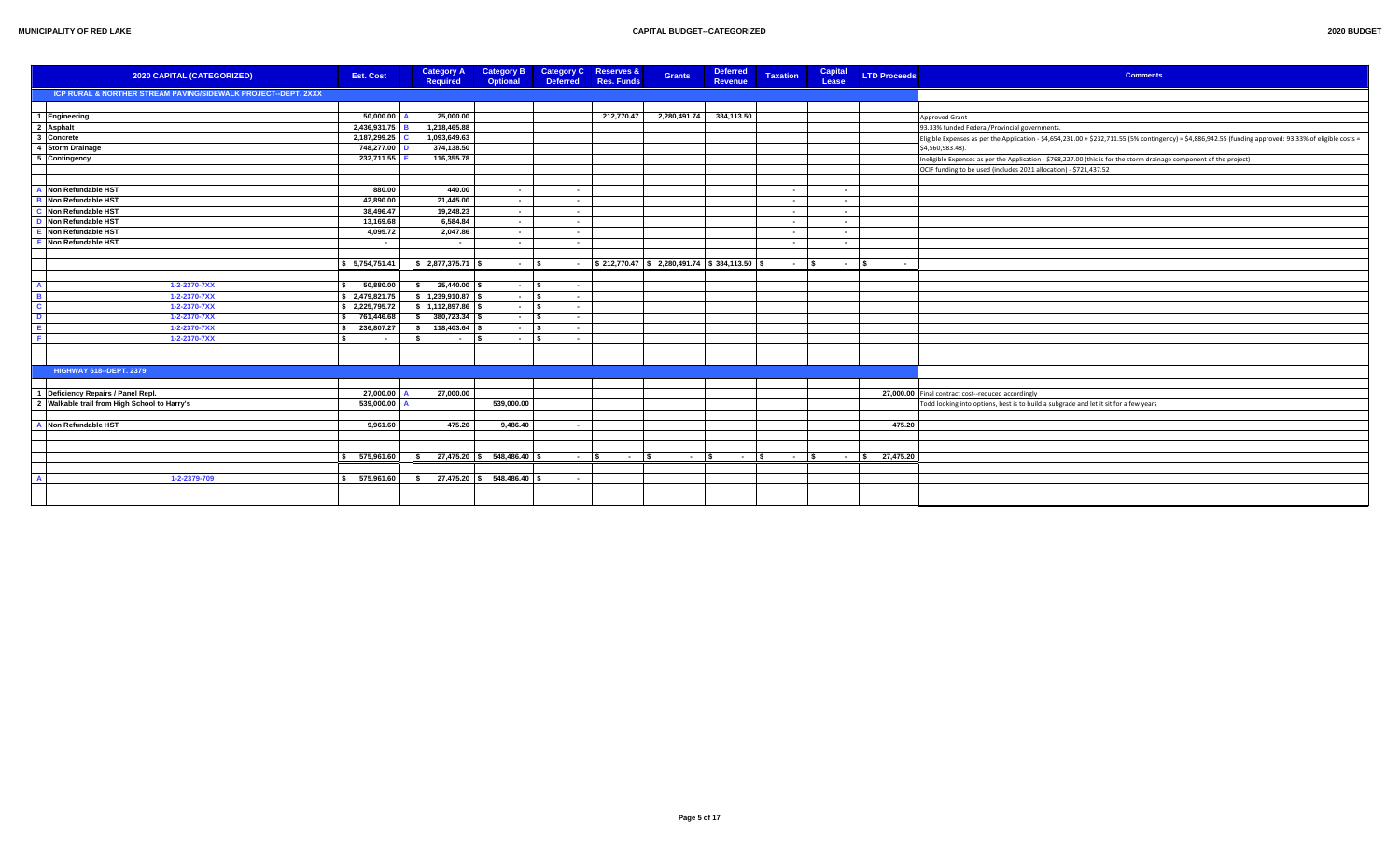| 2020 CAPITAL (CATEGORIZED)                                     | <b>Est. Cost</b> | <b>Category A</b><br><b>Required</b> | <b>Category B</b><br>Optional | <b>Category C</b><br><b>Deferred</b> | <b>Reserves &amp;</b><br><b>Res. Funds</b> | <b>Grants</b>                                                | <b>Deferred</b><br><b>Revenue</b>  | <b>Taxation</b> | Capital<br>Lease | <b>LTD Proceeds</b>      | <b>Comments</b>                                                                                                                                          |
|----------------------------------------------------------------|------------------|--------------------------------------|-------------------------------|--------------------------------------|--------------------------------------------|--------------------------------------------------------------|------------------------------------|-----------------|------------------|--------------------------|----------------------------------------------------------------------------------------------------------------------------------------------------------|
| ICP RURAL & NORTHER STREAM PAVING/SIDEWALK PROJECT--DEPT. 2XXX |                  |                                      |                               |                                      |                                            |                                                              |                                    |                 |                  |                          |                                                                                                                                                          |
|                                                                |                  |                                      |                               |                                      |                                            |                                                              |                                    |                 |                  |                          |                                                                                                                                                          |
| 1 Engineering                                                  | 50,000.00        | 25,000.00                            |                               |                                      | 212.770.47                                 | 2,280,491.74                                                 | 384,113.50                         |                 |                  |                          | Approved Grant                                                                                                                                           |
| 2 Asphalt                                                      | 2,436,931.75     | 1,218,465.88                         |                               |                                      |                                            |                                                              |                                    |                 |                  |                          | 93.33% funded Federal/Provincial governments.                                                                                                            |
| 3 Concrete                                                     | 2,187,299.25     | 1,093,649.63                         |                               |                                      |                                            |                                                              |                                    |                 |                  |                          | Eligible Expenses as per the Application - \$4,654,231.00 + \$232,711.55 (5% contingency) = \$4,886,942.55 (funding approved: 93.33% of eligible costs = |
| 4 Storm Drainage                                               | 748,277.00       | 374,138.50                           |                               |                                      |                                            |                                                              |                                    |                 |                  |                          | \$4,560,983.48).                                                                                                                                         |
| 5 Contingency                                                  | 232,711.55       | 116,355.78                           |                               |                                      |                                            |                                                              |                                    |                 |                  |                          | Ineligible Expenses as per the Application - \$768,227.00 (this is for the storm drainage component of the project)                                      |
|                                                                |                  |                                      |                               |                                      |                                            |                                                              |                                    |                 |                  |                          | OCIF funding to be used (includes 2021 allocation) - \$721,437.52                                                                                        |
|                                                                |                  |                                      |                               |                                      |                                            |                                                              |                                    |                 |                  |                          |                                                                                                                                                          |
| Non Refundable HST                                             | 880.00           | 440.00                               | $\sim 10^{-1}$                | $\sim$ $-$                           |                                            |                                                              |                                    | $\sim$          | $\sim$           |                          |                                                                                                                                                          |
| Non Refundable HST                                             | 42,890.00        | 21,445.00                            | $\sim$                        | $\sim$ $-$                           |                                            |                                                              |                                    | $\sim$          | $\sim$           |                          |                                                                                                                                                          |
| Non Refundable HST                                             | 38,496.47        | 19,248.23                            | $\sim 10^{-1}$                | $\sim$                               |                                            |                                                              |                                    | $\sim$          | $\sim$           |                          |                                                                                                                                                          |
| Non Refundable HST                                             | 13,169.68        | 6,584.84                             | $\sim$                        | $\sim$                               |                                            |                                                              |                                    | $\sim$          | $\sim$           |                          |                                                                                                                                                          |
| Non Refundable HST                                             | 4,095.72         | 2,047.86                             | $\sim$                        | $\sim$                               |                                            |                                                              |                                    | $\sim$          | $\sim$           |                          |                                                                                                                                                          |
| Non Refundable HST                                             | $\sim$           | $\sim$                               | $\sim$                        | $\sim$ $-$                           |                                            |                                                              |                                    | $\sim$          | $\sim$           |                          |                                                                                                                                                          |
|                                                                |                  |                                      |                               |                                      |                                            |                                                              |                                    |                 |                  |                          |                                                                                                                                                          |
|                                                                | \$5,754,751.41   | $\frac{1}{2}$ \$ 2,877,375.71 \$     | $ s$                          | <b>Contract</b>                      |                                            | $\frac{1}{2}$ \$ 212,770.47 \$ 2,280,491.74 \$ 384,113.50 \$ |                                    | $ \sqrt{s}$     |                  | $-$ \$<br>$\sim$         |                                                                                                                                                          |
|                                                                |                  |                                      |                               |                                      |                                            |                                                              |                                    |                 |                  |                          |                                                                                                                                                          |
| 1-2-2370-7XX                                                   | 50,880.00<br>l S | $\frac{1}{25}$ 25,440.00 \$          | $ s$                          | $\sim$ 100 $\mu$                     |                                            |                                                              |                                    |                 |                  |                          |                                                                                                                                                          |
| 1-2-2370-7XX                                                   | \$2,479,821.75   | \$1,239,910.87                       | $ \sqrt{s}$                   | $\sim$ $-$                           |                                            |                                                              |                                    |                 |                  |                          |                                                                                                                                                          |
| 1-2-2370-7XX                                                   | \$2,225,795.72   | $$1,112,897.86$ \\$                  | - IS                          | $\sim$ $-$                           |                                            |                                                              |                                    |                 |                  |                          |                                                                                                                                                          |
| 1-2-2370-7XX<br><b>D</b>                                       | \$761,446.68     | $\frac{1}{5}$ 380,723.34 \$          | $ \sqrt{2}$                   | $\sim$ 100 $\mu$                     |                                            |                                                              |                                    |                 |                  |                          |                                                                                                                                                          |
| 1-2-2370-7XX                                                   | \$236,807.27     | $$ 118,403.64$ \$                    | $ \sqrt{5}$                   | $\sim$                               |                                            |                                                              |                                    |                 |                  |                          |                                                                                                                                                          |
| 1-2-2370-7XX                                                   | $\sim$           | $\overline{\phantom{a}}$<br>$\sim$   | $\sim$<br>$ \sim$             | $\sim$                               |                                            |                                                              |                                    |                 |                  |                          |                                                                                                                                                          |
|                                                                |                  |                                      |                               |                                      |                                            |                                                              |                                    |                 |                  |                          |                                                                                                                                                          |
|                                                                |                  |                                      |                               |                                      |                                            |                                                              |                                    |                 |                  |                          |                                                                                                                                                          |
| <b>HIGHWAY 618--DEPT. 2379</b>                                 |                  |                                      |                               |                                      |                                            |                                                              |                                    |                 |                  |                          |                                                                                                                                                          |
|                                                                |                  |                                      |                               |                                      |                                            |                                                              |                                    |                 |                  |                          |                                                                                                                                                          |
| 1 Deficiency Repairs / Panel Repl.                             | 27,000.00        | 27,000.00                            |                               |                                      |                                            |                                                              |                                    |                 |                  |                          | 27,000.00 Final contract cost-reduced accordingly                                                                                                        |
| 2 Walkable trail from High School to Harry's                   | 539,000.00       |                                      | 539,000.00                    |                                      |                                            |                                                              |                                    |                 |                  |                          | Todd looking into options, best is to build a subgrade and let it sit for a few years                                                                    |
|                                                                |                  |                                      |                               |                                      |                                            |                                                              |                                    |                 |                  |                          |                                                                                                                                                          |
| Non Refundable HST                                             | 9,961.60         | 475.20                               | 9.486.40                      | $\sim$ $-$                           |                                            |                                                              |                                    |                 |                  | 475.20                   |                                                                                                                                                          |
|                                                                |                  |                                      |                               |                                      |                                            |                                                              |                                    |                 |                  |                          |                                                                                                                                                          |
|                                                                |                  |                                      |                               |                                      |                                            |                                                              |                                    |                 |                  |                          |                                                                                                                                                          |
|                                                                | \$575,961.60     | -S.                                  | 27,475.20 \$ 548,486.40       | $ \vert$ s                           | $ \sim$                                    | $\sim$                                                       | $\overline{\mathbf{s}}$<br>$ \sim$ | $ \vert$ s      |                  | 27,475.20<br>$ \sqrt{2}$ |                                                                                                                                                          |
|                                                                |                  |                                      |                               |                                      |                                            |                                                              |                                    |                 |                  |                          |                                                                                                                                                          |
| 1-2-2379-709                                                   | \$575,961.60     | 27,475.20 \$<br>s.                   | 548,486.40                    | $\sim$ $-$                           |                                            |                                                              |                                    |                 |                  |                          |                                                                                                                                                          |
|                                                                |                  |                                      |                               |                                      |                                            |                                                              |                                    |                 |                  |                          |                                                                                                                                                          |
|                                                                |                  |                                      |                               |                                      |                                            |                                                              |                                    |                 |                  |                          |                                                                                                                                                          |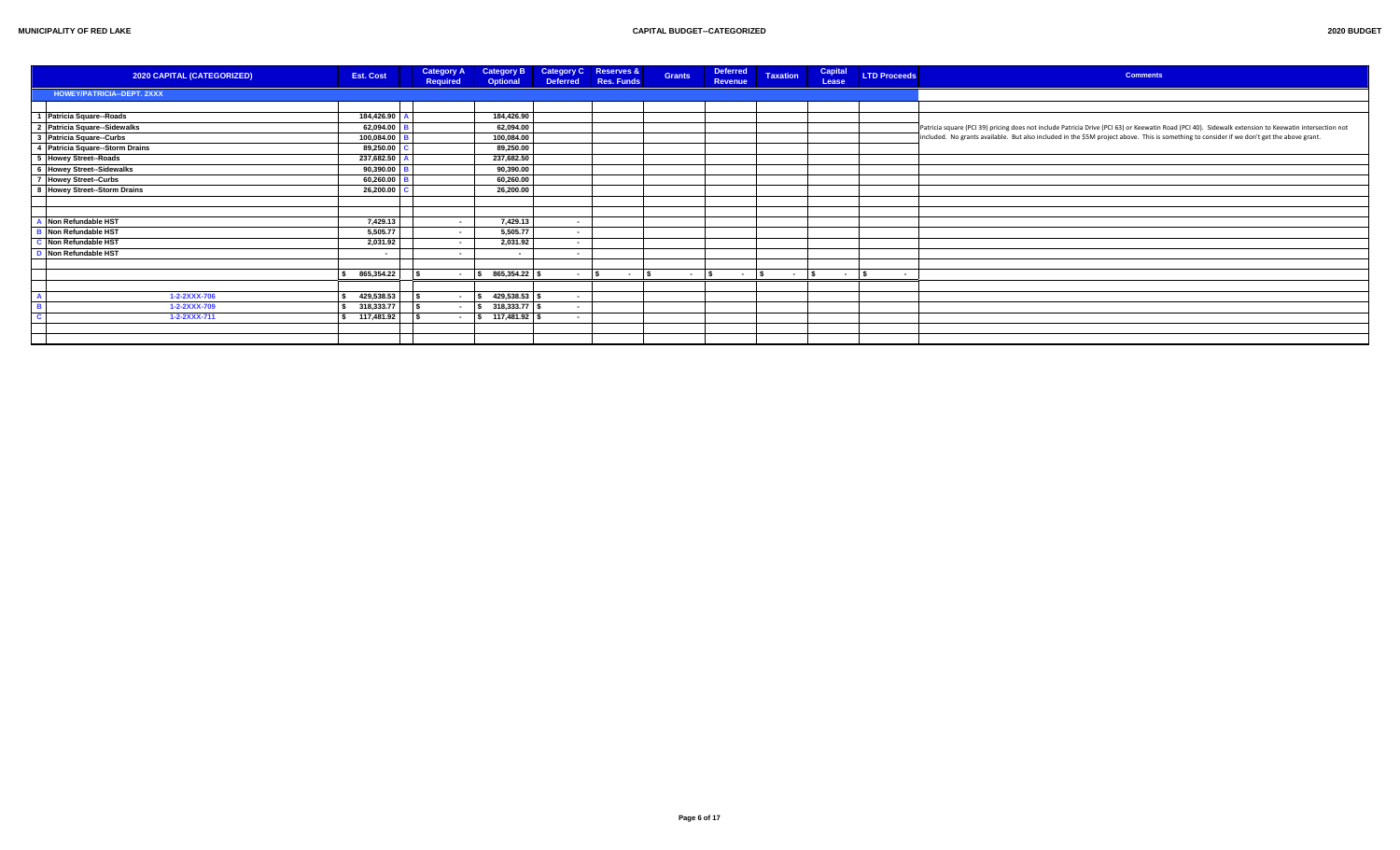| 2020 CAPITAL (CATEGORIZED)      | <b>Est. Cost</b>         | <b>Category A</b><br>Required | <b>Category B</b><br>Optional |                          | <b>Category C</b> Reserves &<br>Deferred Res. Funds | <b>Grants</b> | <b>Deferred</b><br><b>Revenue</b>                                                                                                                                                                            | <b>Taxation</b> | <b>Capital</b><br>Lease | <b>LTD Proceeds</b> | <b>Comments</b>                                                                                                                                      |
|---------------------------------|--------------------------|-------------------------------|-------------------------------|--------------------------|-----------------------------------------------------|---------------|--------------------------------------------------------------------------------------------------------------------------------------------------------------------------------------------------------------|-----------------|-------------------------|---------------------|------------------------------------------------------------------------------------------------------------------------------------------------------|
| HOWEY/PATRICIA--DEPT. 2XXX      |                          |                               |                               |                          |                                                     |               |                                                                                                                                                                                                              |                 |                         |                     |                                                                                                                                                      |
|                                 |                          |                               |                               |                          |                                                     |               |                                                                                                                                                                                                              |                 |                         |                     |                                                                                                                                                      |
| 1 Patricia Square--Roads        | 184,426.90               |                               | 184,426.90                    |                          |                                                     |               |                                                                                                                                                                                                              |                 |                         |                     |                                                                                                                                                      |
| 2 Patricia Square--Sidewalks    | 62,094.00                |                               | 62,094.00                     |                          |                                                     |               |                                                                                                                                                                                                              |                 |                         |                     | Patricia square (PCI 39) pricing does not include Patricia Drive (PCI 63) or Keewatin Road (PCI 40). Sidewalk extension to Keewatin intersection not |
| 3 Patricia Square--Curbs        | 100,084.00               |                               | 100,084.00                    |                          |                                                     |               |                                                                                                                                                                                                              |                 |                         |                     | included. No grants available. But also included in the \$5M project above. This is something to consider if we don't get the above grant.           |
| 4 Patricia Square--Storm Drains | 89,250.00                |                               | 89,250.00                     |                          |                                                     |               |                                                                                                                                                                                                              |                 |                         |                     |                                                                                                                                                      |
| 5 Howey Street--Roads           | 237,682.50               |                               | 237,682.50                    |                          |                                                     |               |                                                                                                                                                                                                              |                 |                         |                     |                                                                                                                                                      |
| 6 Howey Street--Sidewalks       | 90,390.00                |                               | 90,390.00                     |                          |                                                     |               |                                                                                                                                                                                                              |                 |                         |                     |                                                                                                                                                      |
| 7 Howey Street-Curbs            | 60,260.00                |                               | 60,260.00                     |                          |                                                     |               |                                                                                                                                                                                                              |                 |                         |                     |                                                                                                                                                      |
| 8 Howey Street-Storm Drains     | 26,200.00                |                               | 26,200.00                     |                          |                                                     |               |                                                                                                                                                                                                              |                 |                         |                     |                                                                                                                                                      |
|                                 |                          |                               |                               |                          |                                                     |               |                                                                                                                                                                                                              |                 |                         |                     |                                                                                                                                                      |
|                                 |                          |                               |                               |                          |                                                     |               |                                                                                                                                                                                                              |                 |                         |                     |                                                                                                                                                      |
| Non Refundable HST              | 7,429.13                 | $\sim$                        | 7,429.13                      | $\sim$                   |                                                     |               |                                                                                                                                                                                                              |                 |                         |                     |                                                                                                                                                      |
| Non Refundable HST              | 5,505.77                 |                               | 5,505.77                      | $\sim$                   |                                                     |               |                                                                                                                                                                                                              |                 |                         |                     |                                                                                                                                                      |
| Non Refundable HST              | 2,031.92                 | $\sim$                        | 2,031.92                      | $\sim$                   |                                                     |               |                                                                                                                                                                                                              |                 |                         |                     |                                                                                                                                                      |
| Non Refundable HST              | $\overline{\phantom{a}}$ |                               | $\sim$                        | $\overline{\phantom{a}}$ |                                                     |               |                                                                                                                                                                                                              |                 |                         |                     |                                                                                                                                                      |
|                                 |                          |                               |                               |                          |                                                     |               |                                                                                                                                                                                                              |                 |                         |                     |                                                                                                                                                      |
|                                 | 865,354.22               |                               | $-$ \$ 865,354.22             |                          | $\sim$ $\sim$ $\sim$ $\sim$<br>$ s$                 |               | $ \begin{array}{ccc} \textbf{\textcolor{red}{\textbf{S}}} & \textbf{\textcolor{red}{\textbf{-1}}}\textbf{\textcolor{red}{S}} & \textbf{\textcolor{red}{\textbf{-1}}}\textbf{\textcolor{red}{S}} \end{array}$ |                 | $ \vert s \vert$        | $\sim$              |                                                                                                                                                      |
|                                 |                          |                               |                               |                          |                                                     |               |                                                                                                                                                                                                              |                 |                         |                     |                                                                                                                                                      |
| 1-2-2XXX-706                    | 429,538.53               | $\sim$                        | 429,538.53 \$                 | $\sim$                   |                                                     |               |                                                                                                                                                                                                              |                 |                         |                     |                                                                                                                                                      |
| 1-2-2XXX-709                    | 318,333.77               | $\sim$                        | $$318,333.77$ \$              | $\sim$                   |                                                     |               |                                                                                                                                                                                                              |                 |                         |                     |                                                                                                                                                      |
| 1-2-2XXX-711                    | \$ 117,481.92]           | $\sim$                        | $\frac{1}{2}$ 117,481.92 \$   |                          |                                                     |               |                                                                                                                                                                                                              |                 |                         |                     |                                                                                                                                                      |
|                                 |                          |                               |                               |                          |                                                     |               |                                                                                                                                                                                                              |                 |                         |                     |                                                                                                                                                      |
|                                 |                          |                               |                               |                          |                                                     |               |                                                                                                                                                                                                              |                 |                         |                     |                                                                                                                                                      |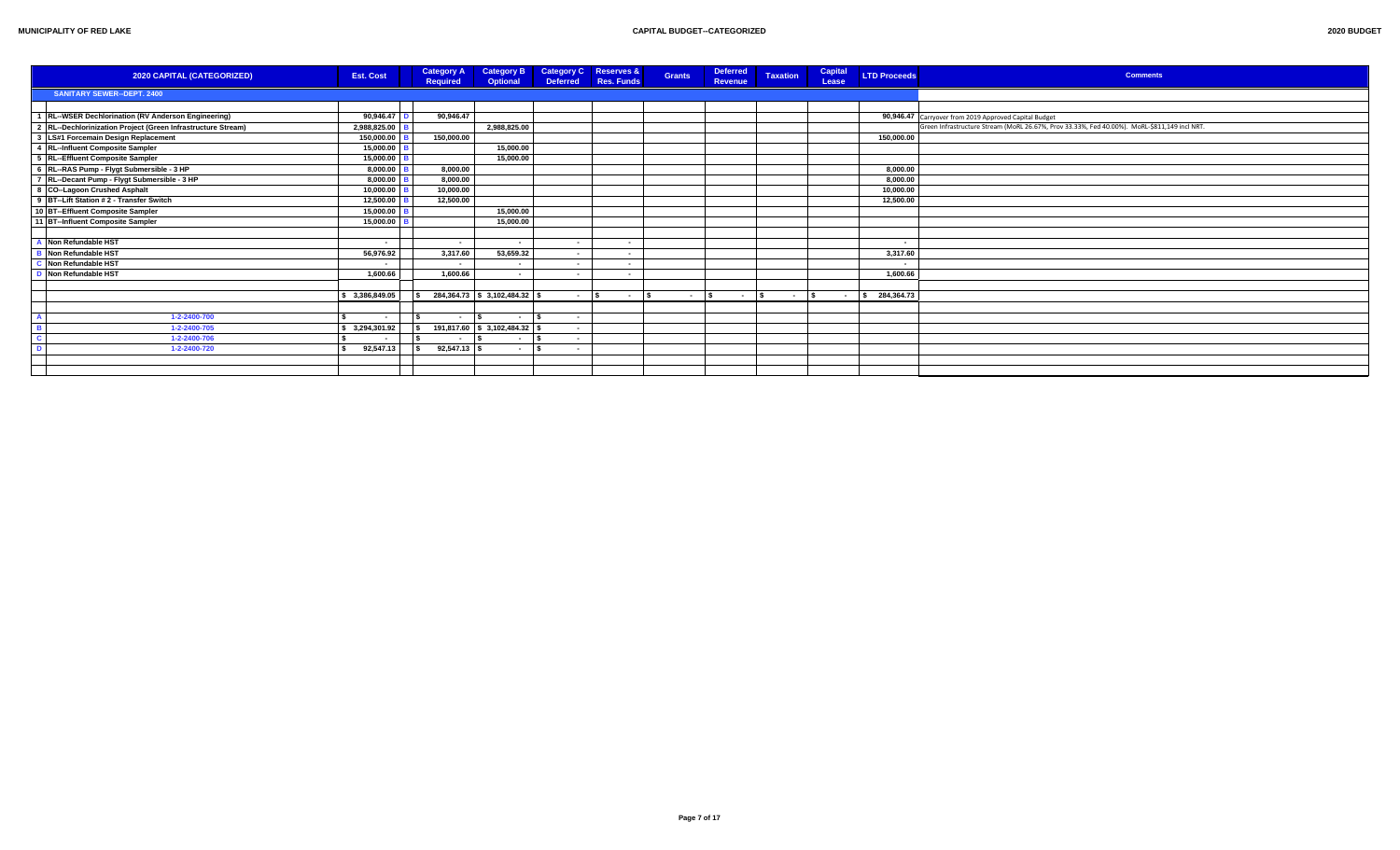| 2020 CAPITAL (CATEGORIZED)                                   | <b>Est. Cost</b> | <b>Category A</b><br><b>Required</b> | <b>Category B</b><br><b>Optional</b> | <b>Deferred</b>          | Category C Reserves &<br><b>Res. Funds</b> | <b>Grants</b> | <b>Deferred</b><br><b>Revenue</b> | <b>Taxation</b> | Capital<br>Lease | <b>LTD Proceeds</b> | <b>Comments</b>                                                                              |
|--------------------------------------------------------------|------------------|--------------------------------------|--------------------------------------|--------------------------|--------------------------------------------|---------------|-----------------------------------|-----------------|------------------|---------------------|----------------------------------------------------------------------------------------------|
| <b>SANITARY SEWER--DEPT. 2400</b>                            |                  |                                      |                                      |                          |                                            |               |                                   |                 |                  |                     |                                                                                              |
|                                                              |                  |                                      |                                      |                          |                                            |               |                                   |                 |                  |                     |                                                                                              |
| 1 RL--WSER Dechlorination (RV Anderson Engineering)          | 90,946.47        | 90.946.47                            |                                      |                          |                                            |               |                                   |                 |                  |                     | 90,946.47 Carryover from 2019 Approved Capital Budget                                        |
| 2 RL--Dechlorinization Project (Green Infrastructure Stream) | 2,988,825.00     |                                      | 2.988.825.00                         |                          |                                            |               |                                   |                 |                  |                     | Green Infrastructure Stream (MoRL 26.67%, Prov 33.33%, Fed 40.00%). MoRL-\$811,149 incl NRT. |
| 3 LS#1 Forcemain Design Replacement                          | 150,000.00       | 150.000.00                           |                                      |                          |                                            |               |                                   |                 |                  | 150,000.00          |                                                                                              |
| 4 RL--Influent Composite Sampler                             | 15,000.00        |                                      | 15,000.00                            |                          |                                            |               |                                   |                 |                  |                     |                                                                                              |
| 5 RL--Effluent Composite Sampler                             | 15,000.00        |                                      | 15,000.00                            |                          |                                            |               |                                   |                 |                  |                     |                                                                                              |
| 6 RL--RAS Pump - Flygt Submersible - 3 HP                    | 8,000.00         | 8.000.00                             |                                      |                          |                                            |               |                                   |                 |                  | 8,000.00            |                                                                                              |
| 7 RL--Decant Pump - Flygt Submersible - 3 HP                 | 8,000.00         | 8,000.00                             |                                      |                          |                                            |               |                                   |                 |                  | 8,000.00            |                                                                                              |
| 8 CO--Lagoon Crushed Asphalt                                 | 10,000.00        | 10,000.00                            |                                      |                          |                                            |               |                                   |                 |                  | 10,000.00           |                                                                                              |
| 9 BT-Lift Station # 2 - Transfer Switch                      | 12,500.00        | 12,500.00                            |                                      |                          |                                            |               |                                   |                 |                  | 12,500.00           |                                                                                              |
| 10 BT-Effluent Composite Sampler                             | 15.000.00        |                                      | 15.000.00                            |                          |                                            |               |                                   |                 |                  |                     |                                                                                              |
| 11 BT-Influent Composite Sampler                             | 15,000.00        |                                      | 15,000.00                            |                          |                                            |               |                                   |                 |                  |                     |                                                                                              |
|                                                              |                  |                                      |                                      |                          |                                            |               |                                   |                 |                  |                     |                                                                                              |
| A Non Refundable HST                                         |                  |                                      | $\sim$                               | $\sim$                   | . .                                        |               |                                   |                 |                  |                     |                                                                                              |
| <b>B</b> Non Refundable HST                                  | 56.976.92        | 3.317.60                             | 53,659.32                            | $\sim$                   | $\sim$                                     |               |                                   |                 |                  | 3,317.60            |                                                                                              |
| C Non Refundable HST                                         |                  |                                      | $\sim$                               | $\sim$ $\sim$            | . .                                        |               |                                   |                 |                  |                     |                                                                                              |
| D Non Refundable HST                                         | 1.600.66         | 1.600.66                             | $\sim$                               | $\sim$                   | . .                                        |               |                                   |                 |                  | 1.600.66            |                                                                                              |
|                                                              |                  |                                      |                                      |                          |                                            |               |                                   |                 |                  |                     |                                                                                              |
|                                                              | \$3,386,849.05   |                                      | 284,364.73 \$3,102,484.32            | <b>Contract Contract</b> | ١s<br>$\sim 100$ m $^{-1}$                 | $ \vert$ s    | $\sim$ $\sim$ $\sim$              | $ \vert$ s      |                  | $-$ \$ 284,364.73   |                                                                                              |
|                                                              |                  |                                      |                                      |                          |                                            |               |                                   |                 |                  |                     |                                                                                              |
| 1-2-2400-700                                                 |                  |                                      | l s<br>$\sim$                        |                          |                                            |               |                                   |                 |                  |                     |                                                                                              |
| 1-2-2400-705                                                 | \$ 3,294,301.92  |                                      | 191,817.60 \$ 3,102,484.32 \$        | $\sim$                   |                                            |               |                                   |                 |                  |                     |                                                                                              |
| 1-2-2400-706                                                 |                  | $\sim$                               | l S<br>$\sim$ 100 $\mu$              | $\sim$                   |                                            |               |                                   |                 |                  |                     |                                                                                              |
| 1-2-2400-720                                                 | 92,547.13        | $92,547.13$ \$                       | $-1$ s                               | $\sim$                   |                                            |               |                                   |                 |                  |                     |                                                                                              |
|                                                              |                  |                                      |                                      |                          |                                            |               |                                   |                 |                  |                     |                                                                                              |
|                                                              |                  |                                      |                                      |                          |                                            |               |                                   |                 |                  |                     |                                                                                              |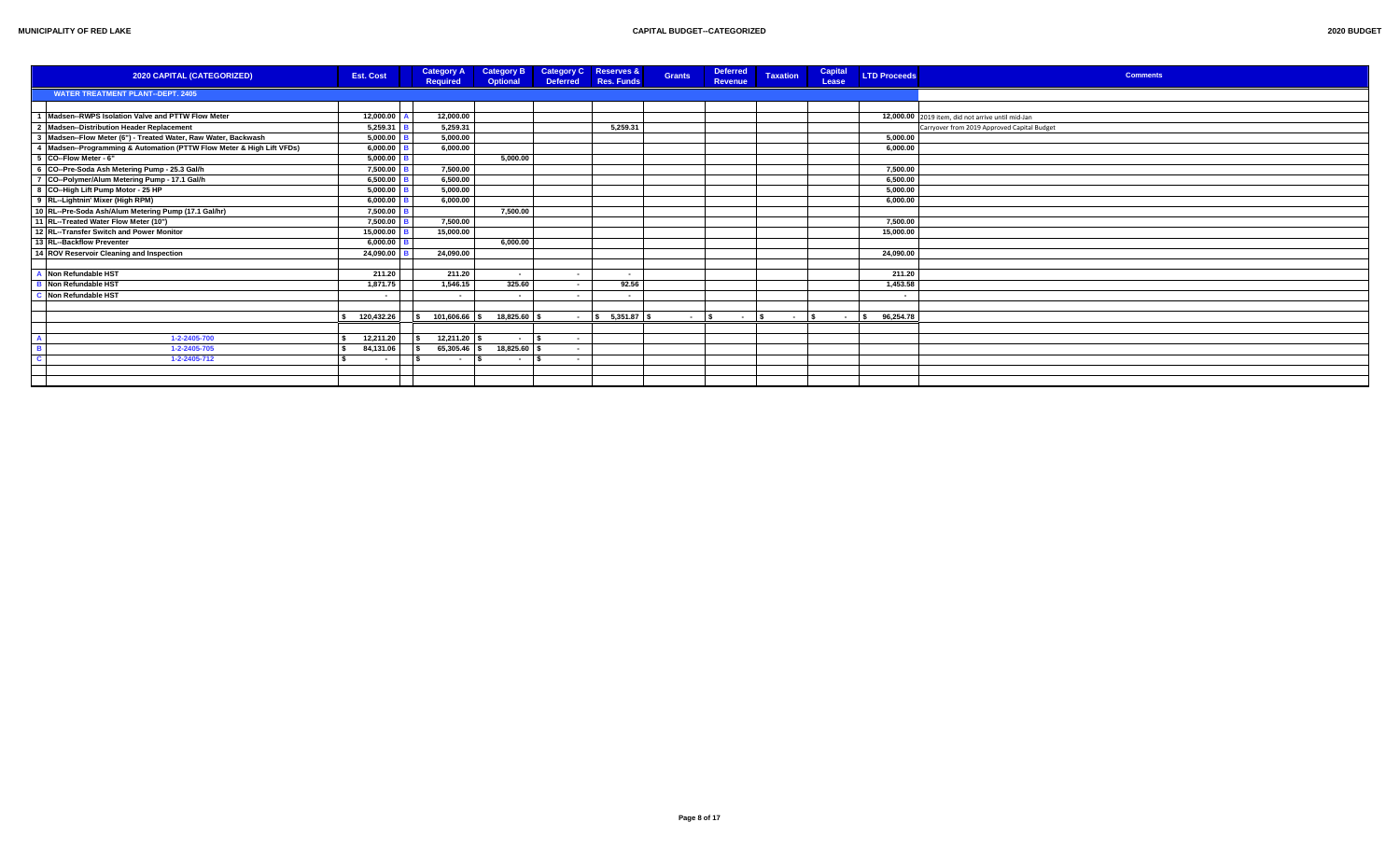| 2020 CAPITAL (CATEGORIZED)                                            | <b>Est. Cost</b>         | <b>Category A</b><br><b>Required</b> | <b>Category B</b><br><b>Optional</b> | <b>Deferred</b>          | <b>Category C</b> Reserves &<br>Res. Funds | <b>Grants</b> | <b>Deferred</b><br>Revenue | <b>Taxation</b>                           | Capital<br>Lease | <b>LTD Proceeds</b> | <b>Comments</b>                                   |
|-----------------------------------------------------------------------|--------------------------|--------------------------------------|--------------------------------------|--------------------------|--------------------------------------------|---------------|----------------------------|-------------------------------------------|------------------|---------------------|---------------------------------------------------|
| <b>WATER TREATMENT PLANT--DEPT. 2405</b>                              |                          |                                      |                                      |                          |                                            |               |                            |                                           |                  |                     |                                                   |
|                                                                       |                          |                                      |                                      |                          |                                            |               |                            |                                           |                  |                     |                                                   |
| Madsen--RWPS Isolation Valve and PTTW Flow Meter                      | 12,000.00                | 12.000.00                            |                                      |                          |                                            |               |                            |                                           |                  |                     | 12,000.00 2019 item, did not arrive until mid-Jan |
| 2 Madsen--Distribution Header Replacement                             | 5.259.31                 | 5.259.31                             |                                      |                          | 5.259.31                                   |               |                            |                                           |                  |                     | Carryover from 2019 Approved Capital Budget       |
| 3 Madsen--Flow Meter (6") - Treated Water, Raw Water, Backwash        | 5,000.00                 | 5,000.00                             |                                      |                          |                                            |               |                            |                                           |                  | 5,000.00            |                                                   |
| 4 Madsen--Programming & Automation (PTTW Flow Meter & High Lift VFDs) | 6,000.00                 | 6.000.00                             |                                      |                          |                                            |               |                            |                                           |                  | 6,000.00            |                                                   |
| 5 CO--Flow Meter - 6"                                                 | 5,000.00                 |                                      | 5.000.00                             |                          |                                            |               |                            |                                           |                  |                     |                                                   |
| 6 CO--Pre-Soda Ash Metering Pump - 25.3 Gal/h                         | 7,500.00                 | 7.500.00                             |                                      |                          |                                            |               |                            |                                           |                  | 7,500.00            |                                                   |
| 7 CO--Polymer/Alum Metering Pump - 17.1 Gal/h                         | 6.500.00                 | 6.500.00                             |                                      |                          |                                            |               |                            |                                           |                  | 6.500.00            |                                                   |
| 8 CO--High Lift Pump Motor - 25 HP                                    | 5.000.00                 | 5.000.00                             |                                      |                          |                                            |               |                            |                                           |                  | 5,000.00            |                                                   |
| 9 RL--Lightnin' Mixer (High RPM)                                      | 6,000.00                 | 6.000.00                             |                                      |                          |                                            |               |                            |                                           |                  | 6,000.00            |                                                   |
| 10 RL--Pre-Soda Ash/Alum Metering Pump (17.1 Gal/hr)                  | 7,500.00                 |                                      | 7.500.00                             |                          |                                            |               |                            |                                           |                  |                     |                                                   |
| 11 RL--Treated Water Flow Meter (10")                                 | 7,500.00                 | 7.500.00                             |                                      |                          |                                            |               |                            |                                           |                  | 7,500.00            |                                                   |
| 12 RL-Transfer Switch and Power Monitor                               | 15,000.00                | 15.000.00                            |                                      |                          |                                            |               |                            |                                           |                  | 15,000.00           |                                                   |
| 13 RL--Backflow Preventer                                             | 6.000.00                 |                                      | 6.000.00                             |                          |                                            |               |                            |                                           |                  |                     |                                                   |
| 14 ROV Reservoir Cleaning and Inspection                              | 24,090.00                | 24,090.00                            |                                      |                          |                                            |               |                            |                                           |                  | 24,090.00           |                                                   |
|                                                                       |                          |                                      |                                      |                          |                                            |               |                            |                                           |                  |                     |                                                   |
| A Non Refundable HST                                                  | 211.20                   | 211.20                               | $\sim$                               |                          | . .                                        |               |                            |                                           |                  | 211.20              |                                                   |
| <b>B</b> Non Refundable HST                                           | 1,871.75                 | 1,546.15                             | 325.60                               | $\sim$                   | 92.56                                      |               |                            |                                           |                  | 1,453.58            |                                                   |
| Mon Refundable HST                                                    | $\blacksquare$           | $\sim$                               | $\sim$                               | $\overline{\phantom{a}}$ | $\sim$                                     |               |                            |                                           |                  | $\sim$              |                                                   |
|                                                                       |                          |                                      |                                      |                          |                                            |               |                            |                                           |                  |                     |                                                   |
|                                                                       | 120,432.26               | 101.606.66 \$                        | 18.825.60                            | $\sim 100$               | $\frac{1}{2}$ \$ 5.351.87 \$               | $ \sqrt{5}$   |                            | $\sim$ $\sim$ $\sim$ $\sim$ $\sim$ $\sim$ | $ \sqrt{S}$      | 96,254.78           |                                                   |
|                                                                       |                          |                                      |                                      |                          |                                            |               |                            |                                           |                  |                     |                                                   |
| 1-2-2405-700                                                          | 12,211.20                | $12,211.20$ \$                       | $\sim$                               | $\sim$                   |                                            |               |                            |                                           |                  |                     |                                                   |
| 1-2-2405-705                                                          | 84,131.06                | 65,305.46 \$                         | 18,825.60 \$                         | $\sim$                   |                                            |               |                            |                                           |                  |                     |                                                   |
| 1-2-2405-712                                                          | $\overline{\phantom{a}}$ | $\sim$                               | $\sim$                               | $\sim$                   |                                            |               |                            |                                           |                  |                     |                                                   |
|                                                                       |                          |                                      |                                      |                          |                                            |               |                            |                                           |                  |                     |                                                   |
|                                                                       |                          |                                      |                                      |                          |                                            |               |                            |                                           |                  |                     |                                                   |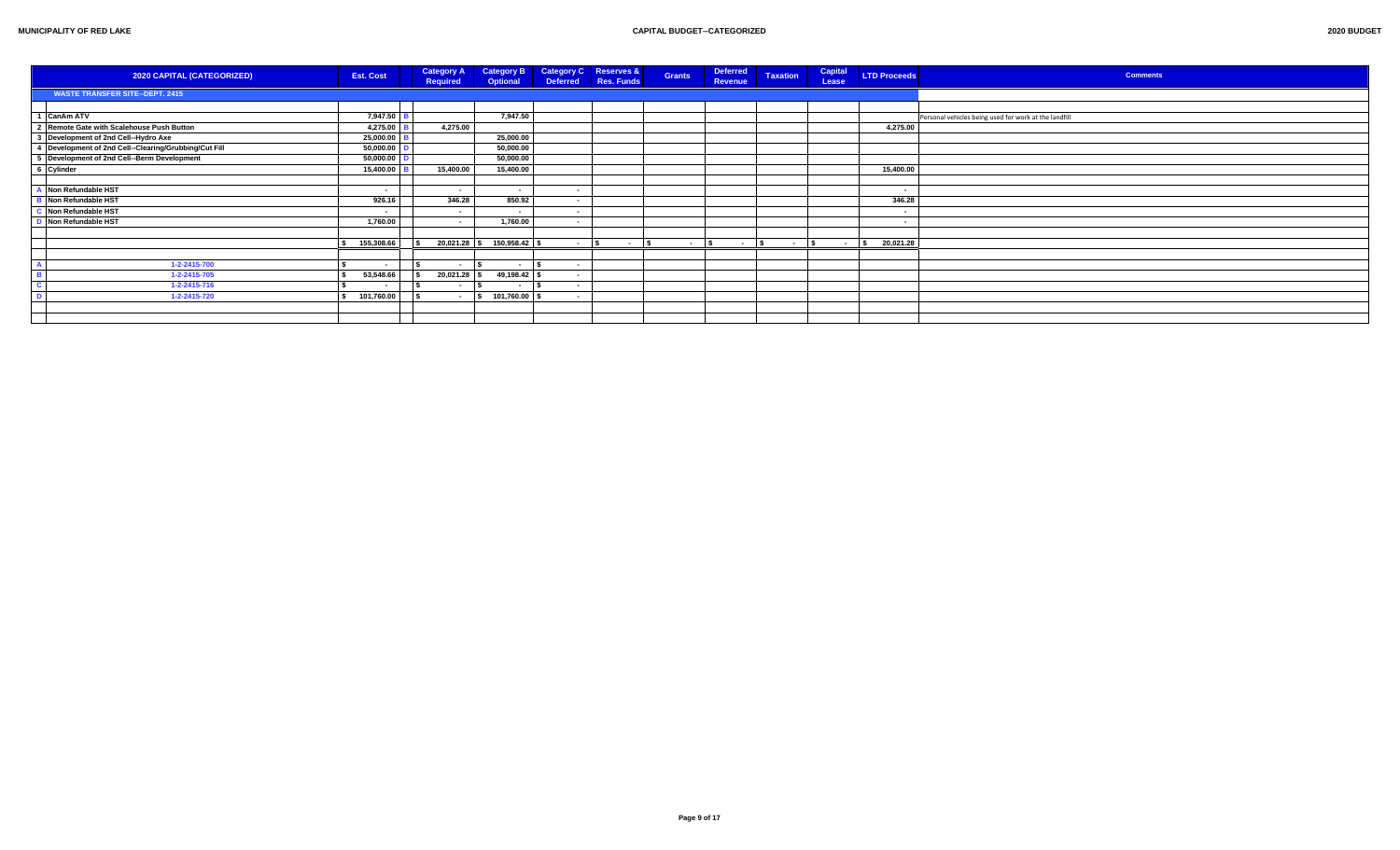| 2020 CAPITAL (CATEGORIZED)                            | <b>Est. Cost</b>         | <b>Category A</b><br>Required | <b>Category B</b><br>Optional |        | Category C Reserves &<br>Deferred Res. Funds | <b>Grants</b> | <b>Deferred</b><br>Revenue | <b>Taxation</b> | Capital<br>Lease | <b>LTD Proceeds</b> | <b>Comments</b>                                       |
|-------------------------------------------------------|--------------------------|-------------------------------|-------------------------------|--------|----------------------------------------------|---------------|----------------------------|-----------------|------------------|---------------------|-------------------------------------------------------|
| <b>WASTE TRANSFER SITE--DEPT. 2415</b>                |                          |                               |                               |        |                                              |               |                            |                 |                  |                     |                                                       |
|                                                       |                          |                               |                               |        |                                              |               |                            |                 |                  |                     |                                                       |
| 1 CanAm ATV                                           | 7,947.50                 |                               | 7,947.50                      |        |                                              |               |                            |                 |                  |                     | Personal vehicles being used for work at the landfill |
| 2 Remote Gate with Scalehouse Push Button             | 4,275.00                 | 4,275.00                      |                               |        |                                              |               |                            |                 |                  | 4,275.00            |                                                       |
| 3 Development of 2nd Cell-Hydro Axe                   | 25,000.00                |                               | 25,000.00                     |        |                                              |               |                            |                 |                  |                     |                                                       |
| 4 Development of 2nd Cell--Clearing/Grubbing/Cut Fill | 50,000.00                |                               | 50,000.00                     |        |                                              |               |                            |                 |                  |                     |                                                       |
| 5 Development of 2nd Cell-Berm Development            | 50,000.00                |                               | 50,000.00                     |        |                                              |               |                            |                 |                  |                     |                                                       |
| 6 Cylinder                                            | 15,400.00                | 15,400.00                     | 15,400.00                     |        |                                              |               |                            |                 |                  | 15,400.00           |                                                       |
|                                                       |                          |                               |                               |        |                                              |               |                            |                 |                  |                     |                                                       |
| Non Refundable HST                                    | $\overline{\phantom{a}}$ | . .                           | $\sim$ $-$                    | $\sim$ |                                              |               |                            |                 |                  | ۰.                  |                                                       |
| Non Refundable HST                                    | 926.16                   | 346.28                        | 850.92                        | $\sim$ |                                              |               |                            |                 |                  | 346.28              |                                                       |
| Non Refundable HST                                    | $\overline{\phantom{a}}$ | . .                           | $\sim$ $\sim$                 | $\sim$ |                                              |               |                            |                 |                  |                     |                                                       |
| Non Refundable HST                                    | 1,760.00                 |                               | 1,760.00                      | $\sim$ |                                              |               |                            |                 |                  | ٠.                  |                                                       |
|                                                       |                          |                               |                               |        |                                              |               |                            |                 |                  |                     |                                                       |
|                                                       | 155,308.66               |                               | 20,021.28 \$ 150,958.42 \$    | - 15   | $ s$                                         | $ \sim$       | $ \sqrt{5}$                | $ \sqrt{2}$     | $ \sqrt{s}$      | 20,021.28           |                                                       |
|                                                       |                          |                               |                               |        |                                              |               |                            |                 |                  |                     |                                                       |
| 1-2-2415-700                                          | $\overline{\phantom{a}}$ | . .                           | $\sim$                        |        |                                              |               |                            |                 |                  |                     |                                                       |
| 1-2-2415-705                                          | 53,548.66                | $20,021.28$ \$                | 49,198.42                     |        |                                              |               |                            |                 |                  |                     |                                                       |
| 1-2-2415-716                                          |                          | $\sim$                        | $\sim$                        | $\sim$ |                                              |               |                            |                 |                  |                     |                                                       |
| 1-2-2415-720                                          | 101,760.00               | $ \sqrt{2}$                   | 101,760.00                    |        |                                              |               |                            |                 |                  |                     |                                                       |
|                                                       |                          |                               |                               |        |                                              |               |                            |                 |                  |                     |                                                       |
|                                                       |                          |                               |                               |        |                                              |               |                            |                 |                  |                     |                                                       |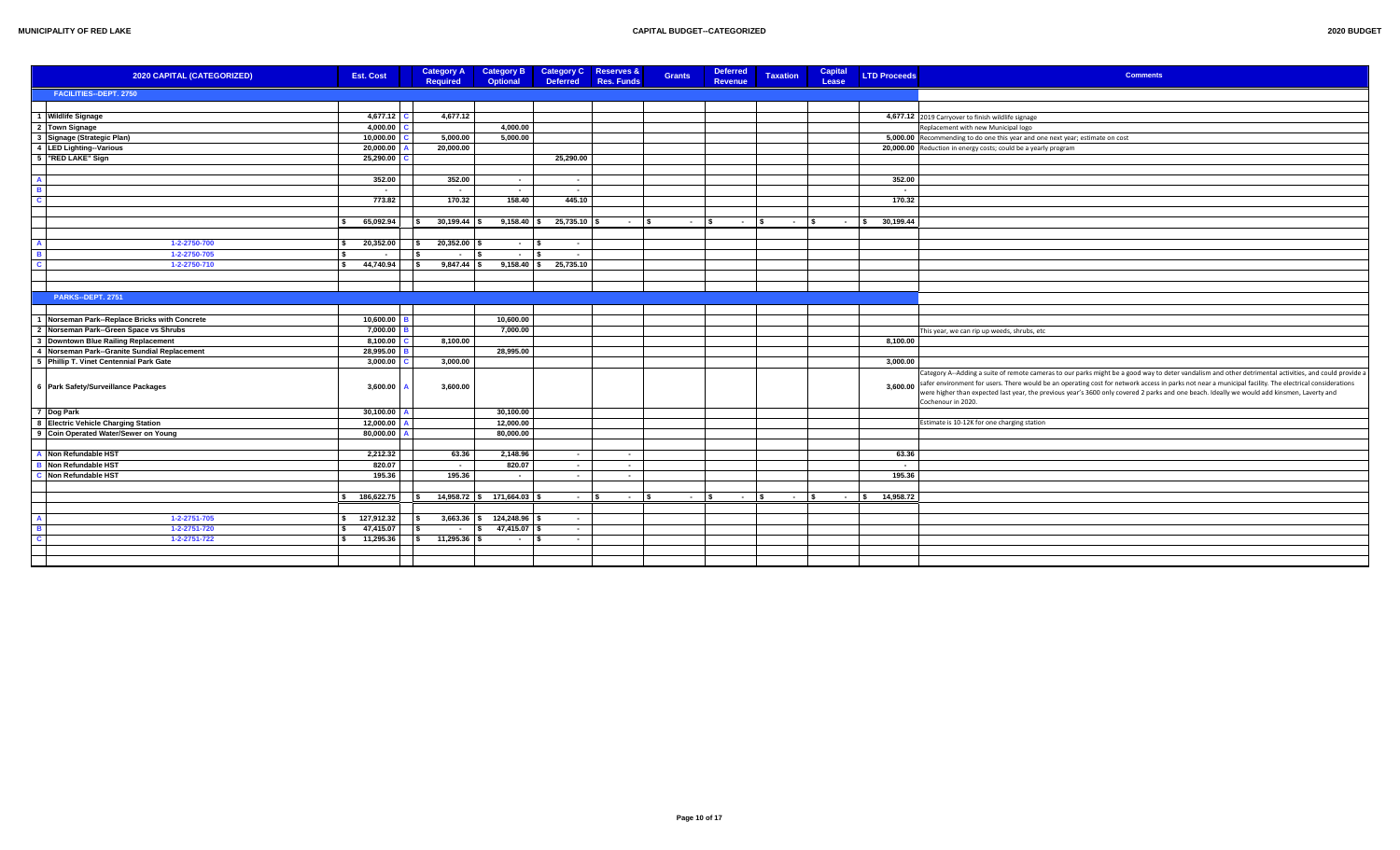| 2020 BUDGET |  |
|-------------|--|
|             |  |

| 2020 CAPITAL (CATEGORIZED)                     | <b>Est. Cost</b>                    | <b>Category A</b><br><b>Required</b>    | <b>Category B</b><br><b>Optional</b> | Category C Reserves &<br><b>Deferred</b> | <b>Res. Funds</b> | <b>Grants</b> | <b>Deferred</b><br>Revenue   | <b>Taxation</b> | <b>Capital</b><br>Lease | <b>LTD Proceeds</b>      | <b>Comments</b>                                                                                                                                                                                                                                                                                                                                                                                                                                                                       |
|------------------------------------------------|-------------------------------------|-----------------------------------------|--------------------------------------|------------------------------------------|-------------------|---------------|------------------------------|-----------------|-------------------------|--------------------------|---------------------------------------------------------------------------------------------------------------------------------------------------------------------------------------------------------------------------------------------------------------------------------------------------------------------------------------------------------------------------------------------------------------------------------------------------------------------------------------|
| FACILITIES--DEPT. 2750                         |                                     |                                         |                                      |                                          |                   |               |                              |                 |                         |                          |                                                                                                                                                                                                                                                                                                                                                                                                                                                                                       |
|                                                |                                     |                                         |                                      |                                          |                   |               |                              |                 |                         |                          |                                                                                                                                                                                                                                                                                                                                                                                                                                                                                       |
| 1 Wildlife Signage                             | 4,677.12                            | 4,677.12                                |                                      |                                          |                   |               |                              |                 |                         |                          | 4,677.12 2019 Carryover to finish wildlife signage                                                                                                                                                                                                                                                                                                                                                                                                                                    |
| 2 Town Signage                                 | 4,000.00                            |                                         | 4,000.00                             |                                          |                   |               |                              |                 |                         |                          | Replacement with new Municipal logo                                                                                                                                                                                                                                                                                                                                                                                                                                                   |
| 3 Signage (Strategic Plan)                     | 10,000.00                           | 5,000.00                                | 5,000.00                             |                                          |                   |               |                              |                 |                         |                          | 5,000.00 Recommending to do one this year and one next year; estimate on cost                                                                                                                                                                                                                                                                                                                                                                                                         |
| 4 LED Lighting--Various                        | 20,000.00                           | 20,000.00                               |                                      |                                          |                   |               |                              |                 |                         |                          | 20,000.00 Reduction in energy costs; could be a yearly program                                                                                                                                                                                                                                                                                                                                                                                                                        |
| 5   "RED LAKE" Sign                            | 25,290.00                           |                                         |                                      | 25,290.00                                |                   |               |                              |                 |                         |                          |                                                                                                                                                                                                                                                                                                                                                                                                                                                                                       |
|                                                |                                     |                                         |                                      |                                          |                   |               |                              |                 |                         |                          |                                                                                                                                                                                                                                                                                                                                                                                                                                                                                       |
| $\mathbf{A}$                                   | 352.00                              | 352.00                                  | $\sim$                               | $\sim$ $-$                               |                   |               |                              |                 |                         | 352.00                   |                                                                                                                                                                                                                                                                                                                                                                                                                                                                                       |
| B                                              | $\sim$                              |                                         | $\sim$                               | $\sim$                                   |                   |               |                              |                 |                         | $\overline{\phantom{a}}$ |                                                                                                                                                                                                                                                                                                                                                                                                                                                                                       |
| C                                              | 773.82                              | 170.32                                  | 158.40                               | 445.10                                   |                   |               |                              |                 |                         | 170.32                   |                                                                                                                                                                                                                                                                                                                                                                                                                                                                                       |
|                                                | -S.                                 |                                         |                                      |                                          |                   |               |                              |                 |                         |                          |                                                                                                                                                                                                                                                                                                                                                                                                                                                                                       |
|                                                | 65,092.94                           | $30,199.44$ \$<br>l s                   | $9,158.40$ \$                        | 25,735.10 \$                             | $ \sqrt{s}$       |               | $\sim$ $\sim$<br>$ \sqrt{s}$ | $ \sqrt{5}$     |                         | $-$ \$ 30,199.44         |                                                                                                                                                                                                                                                                                                                                                                                                                                                                                       |
| $\Delta$                                       |                                     |                                         |                                      |                                          |                   |               |                              |                 |                         |                          |                                                                                                                                                                                                                                                                                                                                                                                                                                                                                       |
| 1-2-2750-700<br>$\overline{R}$<br>1-2-2750-705 | 20,352.00<br>l S<br>-S              | $20,352.00$ \$<br>l S<br>l S            | $\sim$ $-$                           | $\sim$                                   |                   |               |                              |                 |                         |                          |                                                                                                                                                                                                                                                                                                                                                                                                                                                                                       |
| $\overline{c}$<br>1-2-2750-710                 | $\sim$<br>44,740.94<br>$\mathbf{s}$ | $\sim$<br>$9,847.44$ \$<br>$\mathsf{I}$ | $\sim$ $-$                           | $\sim$<br>$9,158.40$ \$ 25,735.10        |                   |               |                              |                 |                         |                          |                                                                                                                                                                                                                                                                                                                                                                                                                                                                                       |
|                                                |                                     |                                         |                                      |                                          |                   |               |                              |                 |                         |                          |                                                                                                                                                                                                                                                                                                                                                                                                                                                                                       |
|                                                |                                     |                                         |                                      |                                          |                   |               |                              |                 |                         |                          |                                                                                                                                                                                                                                                                                                                                                                                                                                                                                       |
| <b>PARKS--DEPT. 2751</b>                       |                                     |                                         |                                      |                                          |                   |               |                              |                 |                         |                          |                                                                                                                                                                                                                                                                                                                                                                                                                                                                                       |
|                                                |                                     |                                         |                                      |                                          |                   |               |                              |                 |                         |                          |                                                                                                                                                                                                                                                                                                                                                                                                                                                                                       |
| 1 Norseman Park--Replace Bricks with Concrete  | 10,600.00                           |                                         | 10,600.00                            |                                          |                   |               |                              |                 |                         |                          |                                                                                                                                                                                                                                                                                                                                                                                                                                                                                       |
| 2 Norseman Park--Green Space vs Shrubs         | 7,000.00                            |                                         | 7,000.00                             |                                          |                   |               |                              |                 |                         |                          | This year, we can rip up weeds, shrubs, etc                                                                                                                                                                                                                                                                                                                                                                                                                                           |
| 3 Downtown Blue Railing Replacement            | 8,100.00                            | 8,100.00                                |                                      |                                          |                   |               |                              |                 |                         | 8,100.00                 |                                                                                                                                                                                                                                                                                                                                                                                                                                                                                       |
| 4 Norseman Park--Granite Sundial Replacement   | 28,995.00                           |                                         | 28,995.00                            |                                          |                   |               |                              |                 |                         |                          |                                                                                                                                                                                                                                                                                                                                                                                                                                                                                       |
| 5 Phillip T. Vinet Centennial Park Gate        | 3,000.00                            | 3,000.00                                |                                      |                                          |                   |               |                              |                 |                         | 3,000.00                 |                                                                                                                                                                                                                                                                                                                                                                                                                                                                                       |
| 6 Park Safety/Surveillance Packages            | 3,600.00                            | 3,600.00                                |                                      |                                          |                   |               |                              |                 |                         | 3,600.00                 | Category A--Adding a suite of remote cameras to our parks might be a good way to deter vandalism and other detrimental activities, and could provide a<br>safer environment for users. There would be an operating cost for network access in parks not near a municipal facility. The electrical considerations<br>were higher than expected last year, the previous year's 3600 only covered 2 parks and one beach. Ideally we would add kinsmen, Laverty and<br>Cochenour in 2020. |
| 7 Dog Park                                     | 30,100.00                           |                                         | 30,100.00                            |                                          |                   |               |                              |                 |                         |                          |                                                                                                                                                                                                                                                                                                                                                                                                                                                                                       |
| 8 Electric Vehicle Charging Station            | 12,000.00                           |                                         | 12,000.00                            |                                          |                   |               |                              |                 |                         |                          | Estimate is 10-12K for one charging station                                                                                                                                                                                                                                                                                                                                                                                                                                           |
| 9 Coin Operated Water/Sewer on Young           | 80,000.00                           |                                         | 80,000.00                            |                                          |                   |               |                              |                 |                         |                          |                                                                                                                                                                                                                                                                                                                                                                                                                                                                                       |
|                                                |                                     |                                         |                                      |                                          |                   |               |                              |                 |                         |                          |                                                                                                                                                                                                                                                                                                                                                                                                                                                                                       |
| A Non Refundable HST                           | 2,212.32                            | 63.36                                   | 2,148.96                             | $\sim$                                   | $\sim$            |               |                              |                 |                         | 63.36                    |                                                                                                                                                                                                                                                                                                                                                                                                                                                                                       |
| <b>B</b> Non Refundable HST                    | 820.07                              | $\sim$                                  | 820.07                               | $\sim$                                   | $\sim$            |               |                              |                 |                         | . .                      |                                                                                                                                                                                                                                                                                                                                                                                                                                                                                       |
| C Non Refundable HST                           | 195.36                              | 195.36                                  | $\sim$                               | $\sim$                                   | $\sim$            |               |                              |                 |                         | 195.36                   |                                                                                                                                                                                                                                                                                                                                                                                                                                                                                       |
|                                                |                                     |                                         |                                      |                                          |                   |               |                              |                 |                         |                          |                                                                                                                                                                                                                                                                                                                                                                                                                                                                                       |
|                                                | \$ 186,622.75                       | $\overline{\phantom{a}}$                | 14,958.72 \$ 171,664.03              | $ \sim$                                  | $\sim$ s          |               | $ \sqrt{s}$<br>$ s$          | $ \vert$ s      |                         | 14,958.72<br>$ \sqrt{2}$ |                                                                                                                                                                                                                                                                                                                                                                                                                                                                                       |
|                                                |                                     |                                         |                                      |                                          |                   |               |                              |                 |                         |                          |                                                                                                                                                                                                                                                                                                                                                                                                                                                                                       |
| $\mathbf{A}$<br>1-2-2751-705<br>$\overline{R}$ | $\frac{1}{2}$ 127,912.32            |                                         | $3,663.36$ \$ 124,248.96             | $\sim$ $-$                               |                   |               |                              |                 |                         |                          |                                                                                                                                                                                                                                                                                                                                                                                                                                                                                       |
| 1-2-2751-720<br>$\mathbf{C}$                   | 47,415.07<br>$\sim$                 | $\sqrt{2}$<br>$\sim$<br>$11,295.36$ \$  | 47,415.07 \$<br>l S                  | $\sim$ $\sim$                            |                   |               |                              |                 |                         |                          |                                                                                                                                                                                                                                                                                                                                                                                                                                                                                       |
| 1-2-2751-722                                   | \$ 11,295.36                        | $\sqrt{2}$                              | <b>Contract Contract</b>             | $\sim$ $-$                               |                   |               |                              |                 |                         |                          |                                                                                                                                                                                                                                                                                                                                                                                                                                                                                       |
|                                                |                                     |                                         |                                      |                                          |                   |               |                              |                 |                         |                          |                                                                                                                                                                                                                                                                                                                                                                                                                                                                                       |
|                                                |                                     |                                         |                                      |                                          |                   |               |                              |                 |                         |                          |                                                                                                                                                                                                                                                                                                                                                                                                                                                                                       |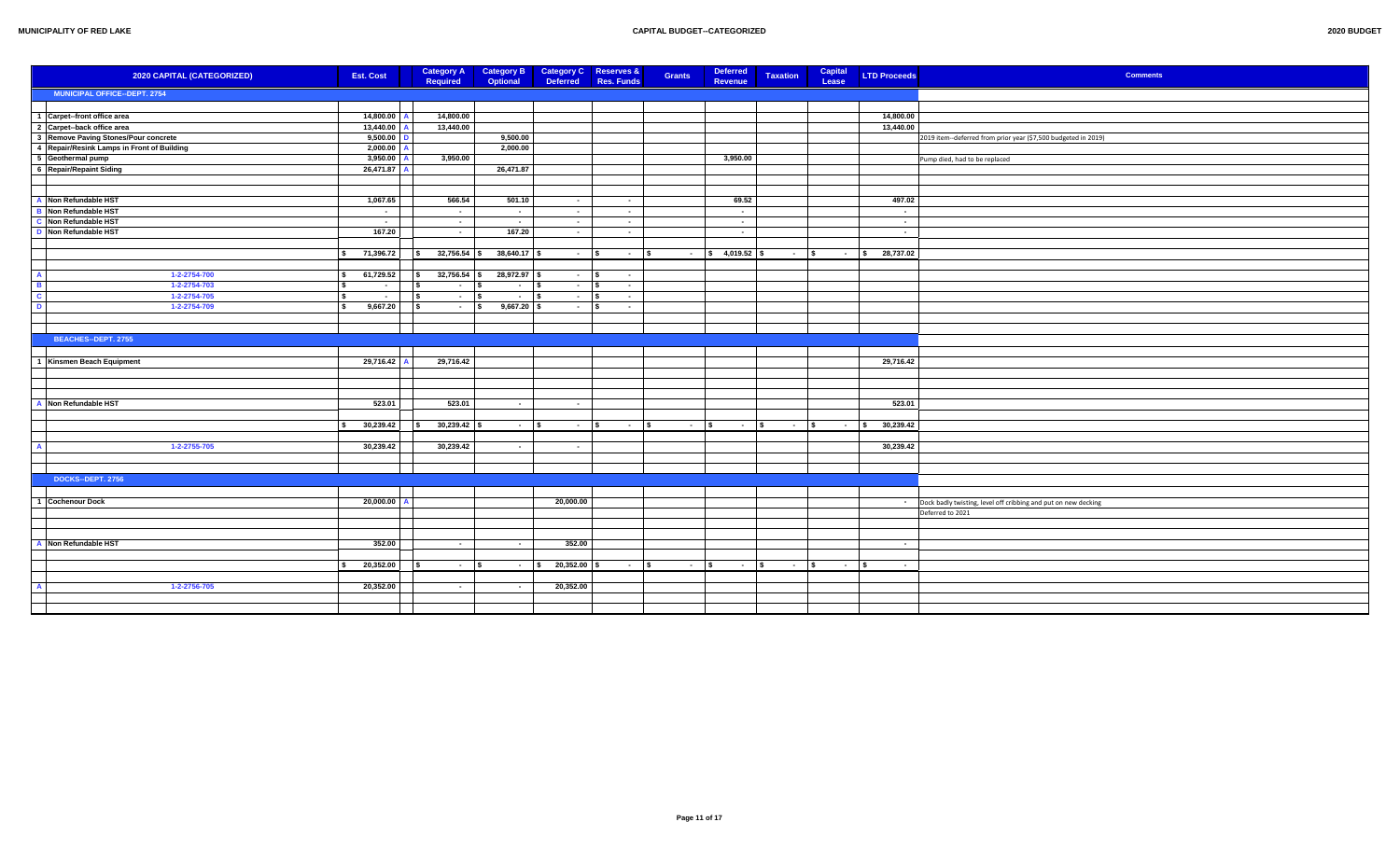| 2020 CAPITAL (CATEGORIZED)                 | <b>Est. Cost</b>    | <b>Category A</b>        |               | Category B Category C Reserves & |               | Grants | Deferred                     | <b>Taxation</b>      | Capital     | <b>LTD Proceeds</b> | <b>Comments</b>                                                  |
|--------------------------------------------|---------------------|--------------------------|---------------|----------------------------------|---------------|--------|------------------------------|----------------------|-------------|---------------------|------------------------------------------------------------------|
|                                            |                     | <b>Required</b>          | Optional      | <b>Deferred</b>                  | Res. Funds    |        | Revenue                      |                      | Lease       |                     |                                                                  |
| MUNICIPAL OFFICE--DEPT. 2754               |                     |                          |               |                                  |               |        |                              |                      |             |                     |                                                                  |
|                                            |                     |                          |               |                                  |               |        |                              |                      |             |                     |                                                                  |
| 1 Carpet--front office area                | 14,800.00           | 14,800.00                |               |                                  |               |        |                              |                      |             | 14,800.00           |                                                                  |
| 2 Carpet--back office area                 | 13,440.00           | 13,440.00                |               |                                  |               |        |                              |                      |             | 13,440.00           |                                                                  |
| 3 Remove Paving Stones/Pour concrete       | 9,500.00            |                          | 9,500.00      |                                  |               |        |                              |                      |             |                     | 2019 item--deferred from prior year (\$7,500 budgeted in 2019)   |
| 4 Repair/Resink Lamps in Front of Building | 2,000.00            |                          | 2,000.00      |                                  |               |        |                              |                      |             |                     |                                                                  |
| 5 Geothermal pump                          | 3,950.00            | 3,950.00                 |               |                                  |               |        | 3,950.00                     |                      |             |                     | Pump died, had to be replaced                                    |
| 6 Repair/Repaint Siding                    | 26,471.87           |                          | 26,471.87     |                                  |               |        |                              |                      |             |                     |                                                                  |
|                                            |                     |                          |               |                                  |               |        |                              |                      |             |                     |                                                                  |
|                                            |                     |                          |               |                                  |               |        |                              |                      |             |                     |                                                                  |
| A Non Refundable HST                       | 1,067.65            | 566.54                   | 501.10        | $\sim$ $-$                       | $\sim$        |        | 69.52                        |                      |             | 497.02              |                                                                  |
| Non Refundable HST                         | $\sim$              | $\sim$ $-$               | $\sim$ $-$    | $\sim$ 10 $\pm$                  | $\sim$ $-$    |        | $\sim$ $-$                   |                      |             | $\sim$              |                                                                  |
| Non Refundable HST                         | $\sim$              | $\sim$ $-$               | $\sim$        | $\sim 10^{-1}$                   | $\sim$        |        | $\sim$                       |                      |             | $\sim$              |                                                                  |
| Non Refundable HST                         | 167.20              | $\sim$                   | 167.20        | <b>Contract</b>                  | $\sim$        |        | $\sim$ $-$                   |                      |             | $\sim$              |                                                                  |
|                                            |                     |                          |               |                                  |               |        |                              |                      |             |                     |                                                                  |
|                                            | \$71,396.72         | $32,756.54$ \$<br>s.     | 38,640.17 \$  | $ \sqrt{s}$                      | $\sim$ $\sim$ |        | $\frac{1}{5}$ 4,019.52 \$    | $\sim$ $\sim$ $\sim$ |             | $-$ \$ 28,737.02    |                                                                  |
|                                            |                     |                          |               |                                  |               |        |                              |                      |             |                     |                                                                  |
| 1-2-2754-700                               | 61,729.52<br>$\sim$ | 32,756.54<br>-S          | 28,972.97 \$  | - 1\$                            | $\sim$        |        |                              |                      |             |                     |                                                                  |
| 1-2-2754-703                               | $\sim$              | - S<br>$\sim$ $-$        | $ \sqrt{ }$   | - 1\$                            | $\sim$        |        |                              |                      |             |                     |                                                                  |
| 1-2-2754-705                               | l s<br>$\sim$       | ١s<br>$ \sqrt{s}$        | $ \sqrt{5}$   | $ \sqrt{s}$                      | $\sim$        |        |                              |                      |             |                     |                                                                  |
| 1-2-2754-709                               | 9,667.20<br>l s     | $ \vert$ s<br>l S        | $9,667.20$ \$ | $\sim 10^{-11}$                  | $\sim$ $-$    |        |                              |                      |             |                     |                                                                  |
|                                            |                     |                          |               |                                  |               |        |                              |                      |             |                     |                                                                  |
|                                            |                     |                          |               |                                  |               |        |                              |                      |             |                     |                                                                  |
|                                            |                     |                          |               |                                  |               |        |                              |                      |             |                     |                                                                  |
| BEACHES--DEPT. 2755                        |                     |                          |               |                                  |               |        |                              |                      |             |                     |                                                                  |
|                                            |                     |                          |               |                                  |               |        |                              |                      |             |                     |                                                                  |
| Kinsmen Beach Equipment                    | 29,716.42           | 29,716.42                |               |                                  |               |        |                              |                      |             | 29,716.42           |                                                                  |
|                                            |                     |                          |               |                                  |               |        |                              |                      |             |                     |                                                                  |
|                                            |                     |                          |               |                                  |               |        |                              |                      |             |                     |                                                                  |
|                                            |                     |                          |               |                                  |               |        |                              |                      |             |                     |                                                                  |
| Non Refundable HST                         | 523.01              | 523.01                   | $\sim$        | $\sim$ $-$                       |               |        |                              |                      |             | 523.01              |                                                                  |
|                                            |                     |                          |               |                                  |               |        |                              |                      |             |                     |                                                                  |
|                                            | 30,239.42           | $30,239.42$ \$<br>$\sim$ | $ \sqrt{5}$   | $ \vert$ s                       | $ s$          |        | $ s$<br>$\sim$ $\sim$ $\sim$ | $-$ \$               |             | $-$ \$ 30,239.42    |                                                                  |
|                                            |                     |                          |               |                                  |               |        |                              |                      |             |                     |                                                                  |
| 1-2-2755-705                               | 30,239.42           | 30,239.42                | $\sim$ $-$    | $\sim$                           |               |        |                              |                      |             | 30,239.42           |                                                                  |
|                                            |                     |                          |               |                                  |               |        |                              |                      |             |                     |                                                                  |
|                                            |                     |                          |               |                                  |               |        |                              |                      |             |                     |                                                                  |
| DOCKS--DEPT. 2756                          |                     |                          |               |                                  |               |        |                              |                      |             |                     |                                                                  |
|                                            |                     |                          |               |                                  |               |        |                              |                      |             |                     |                                                                  |
| <b>Cochenour Dock</b>                      | 20,000.00           |                          |               | 20,000.00                        |               |        |                              |                      |             |                     | - Dock badly twisting, level off cribbing and put on new decking |
|                                            |                     |                          |               |                                  |               |        |                              |                      |             |                     | Deferred to 2021                                                 |
|                                            |                     |                          |               |                                  |               |        |                              |                      |             |                     |                                                                  |
|                                            |                     |                          |               |                                  |               |        |                              |                      |             |                     |                                                                  |
| Non Refundable HST                         | 352.00              | $\sim$                   | $\sim$        | 352.00                           |               |        |                              |                      |             | $\sim$              |                                                                  |
|                                            |                     |                          |               |                                  |               |        |                              |                      |             |                     |                                                                  |
|                                            | 20,352.00           | l Si<br>- 1\$            | $ s$          | $20,352.00$ \$                   | $ s$          |        | $ s$<br>$ \sqrt{5}$          | $ s$                 | $ \sqrt{s}$ | $\sim$ 100 $\sim$   |                                                                  |
|                                            |                     |                          |               |                                  |               |        |                              |                      |             |                     |                                                                  |
|                                            |                     |                          |               |                                  |               |        |                              |                      |             |                     |                                                                  |
| 1-2-2756-705                               | 20,352.00           | $\sim$                   | $\sim$        | 20,352.00                        |               |        |                              |                      |             |                     |                                                                  |
|                                            |                     |                          |               |                                  |               |        |                              |                      |             |                     |                                                                  |
|                                            |                     |                          |               |                                  |               |        |                              |                      |             |                     |                                                                  |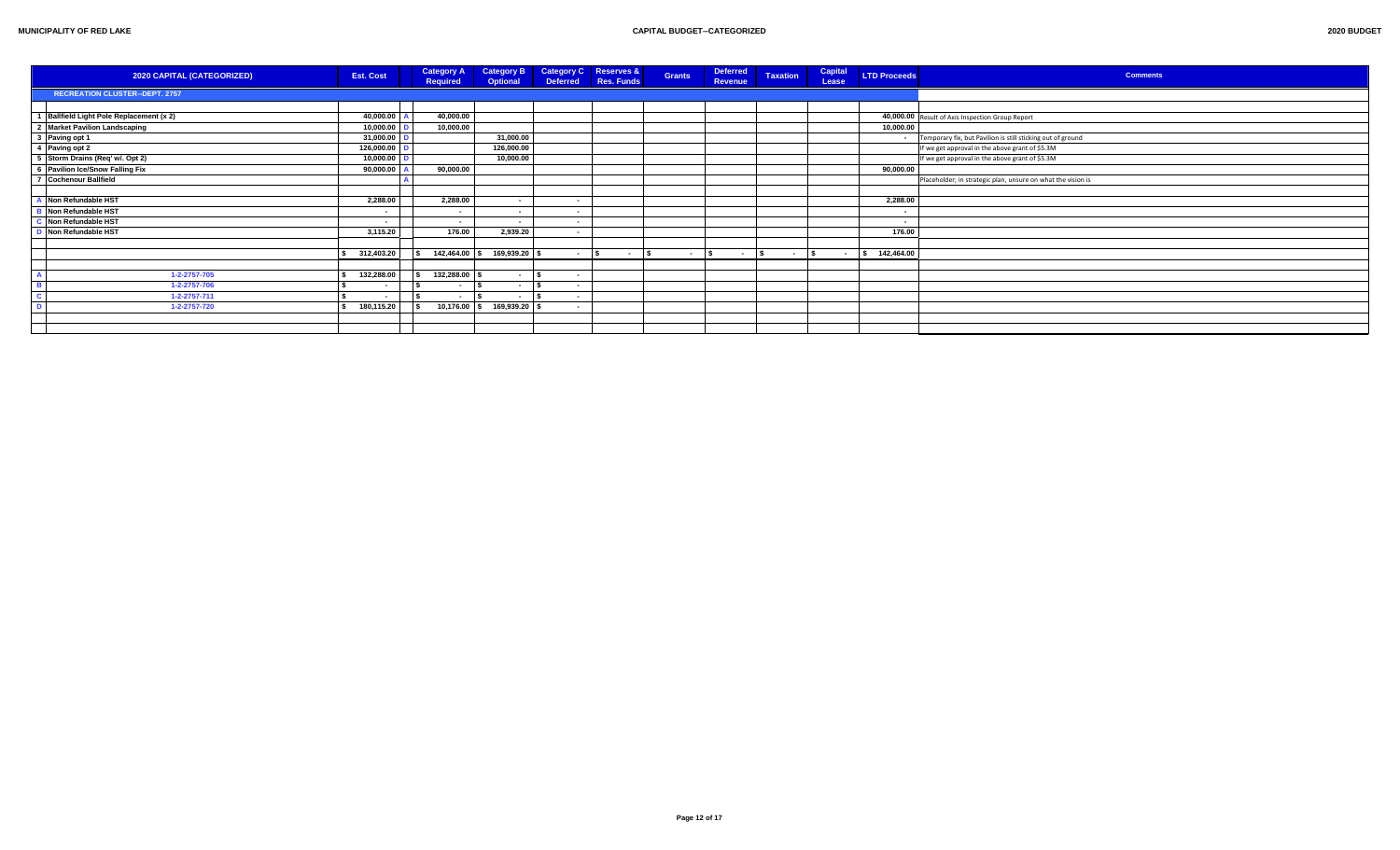| 2020 CAPITAL (CATEGORIZED)               | <b>Est. Cost</b>         | <b>Category A</b><br>Required | <b>Category B</b><br>Optional |             | <b>Category C</b> Reserves &<br>Deferred Res. Funds | <b>Grants</b> | Deferred<br>Revenue | <b>Taxation</b> | Capital<br>Lease | <b>LTD Proceeds</b> | <b>Comments</b>                                              |
|------------------------------------------|--------------------------|-------------------------------|-------------------------------|-------------|-----------------------------------------------------|---------------|---------------------|-----------------|------------------|---------------------|--------------------------------------------------------------|
| <b>RECREATION CLUSTER--DEPT. 2757</b>    |                          |                               |                               |             |                                                     |               |                     |                 |                  |                     |                                                              |
|                                          |                          |                               |                               |             |                                                     |               |                     |                 |                  |                     |                                                              |
| 1 Ballfield Light Pole Replacement (x 2) | 40,000.00                | 40,000.00                     |                               |             |                                                     |               |                     |                 |                  |                     | 40,000.00 Result of Axis Inspection Group Report             |
| 2 Market Pavilion Landscaping            | 10,000.00                | 10,000.00                     |                               |             |                                                     |               |                     |                 |                  | 10,000.00           |                                                              |
| 3 Paving opt 1                           | 31,000.00                |                               | 31,000.00                     |             |                                                     |               |                     |                 |                  |                     | Temporary fix, but Pavilion is still sticking out of ground  |
| 4 Paving opt 2                           | 126,000.00               |                               | 126,000.00                    |             |                                                     |               |                     |                 |                  |                     | If we get approval in the above grant of \$5.3M              |
| 5 Storm Drains (Req' w/. Opt 2)          | 10,000.00                |                               | 10,000.00                     |             |                                                     |               |                     |                 |                  |                     | If we get approval in the above grant of \$5.3M              |
| 6 Pavilion Ice/Snow Falling Fix          | 90,000.00                | 90.000.00                     |                               |             |                                                     |               |                     |                 |                  | 90,000.00           |                                                              |
| 7 Cochenour Ballfield                    |                          |                               |                               |             |                                                     |               |                     |                 |                  |                     | Placeholder; in strategic plan, unsure on what the vision is |
|                                          |                          |                               |                               |             |                                                     |               |                     |                 |                  |                     |                                                              |
| Non Refundable HST                       | 2,288.00                 | 2,288.00                      | $\sim$                        | $\sim$      |                                                     |               |                     |                 |                  | 2,288.00            |                                                              |
| Non Refundable HST                       |                          | $\sim$                        | $\sim$                        | . .         |                                                     |               |                     |                 |                  | . .                 |                                                              |
| Non Refundable HST                       | $\blacksquare$           | $\sim$                        | $\sim$ $-$                    | $\sim$      |                                                     |               |                     |                 |                  | $\sim$              |                                                              |
| Non Refundable HST                       | 3,115.20                 | 176.00                        | 2,939.20                      | $\sim$      |                                                     |               |                     |                 |                  | 176.00              |                                                              |
|                                          |                          |                               |                               |             |                                                     |               |                     |                 |                  |                     |                                                              |
|                                          | 312,403.20               |                               | 142,464.00   \$ 169,939.20    | $ \sqrt{2}$ | $\sim$ $-$                                          | $\sim$        | $\sim 100$          | $ \sqrt{S}$     | $ \sim$          | 142,464.00          |                                                              |
|                                          |                          |                               |                               |             |                                                     |               |                     |                 |                  |                     |                                                              |
| 1-2-2757-705                             | 132,288.00               | 132,288.00 \$                 | $\sim$                        |             |                                                     |               |                     |                 |                  |                     |                                                              |
| 1-2-2757-706                             | $\overline{\phantom{a}}$ | $\sim$                        | $\sim$                        | $\sim$      |                                                     |               |                     |                 |                  |                     |                                                              |
| 1-2-2757-711                             |                          | $\sim$                        | $\blacksquare$                | $\sim$      |                                                     |               |                     |                 |                  |                     |                                                              |
| 1-2-2757-720                             | 180,115.20               |                               | 10,176.00 \$ 169,939.20       |             |                                                     |               |                     |                 |                  |                     |                                                              |
|                                          |                          |                               |                               |             |                                                     |               |                     |                 |                  |                     |                                                              |
|                                          |                          |                               |                               |             |                                                     |               |                     |                 |                  |                     |                                                              |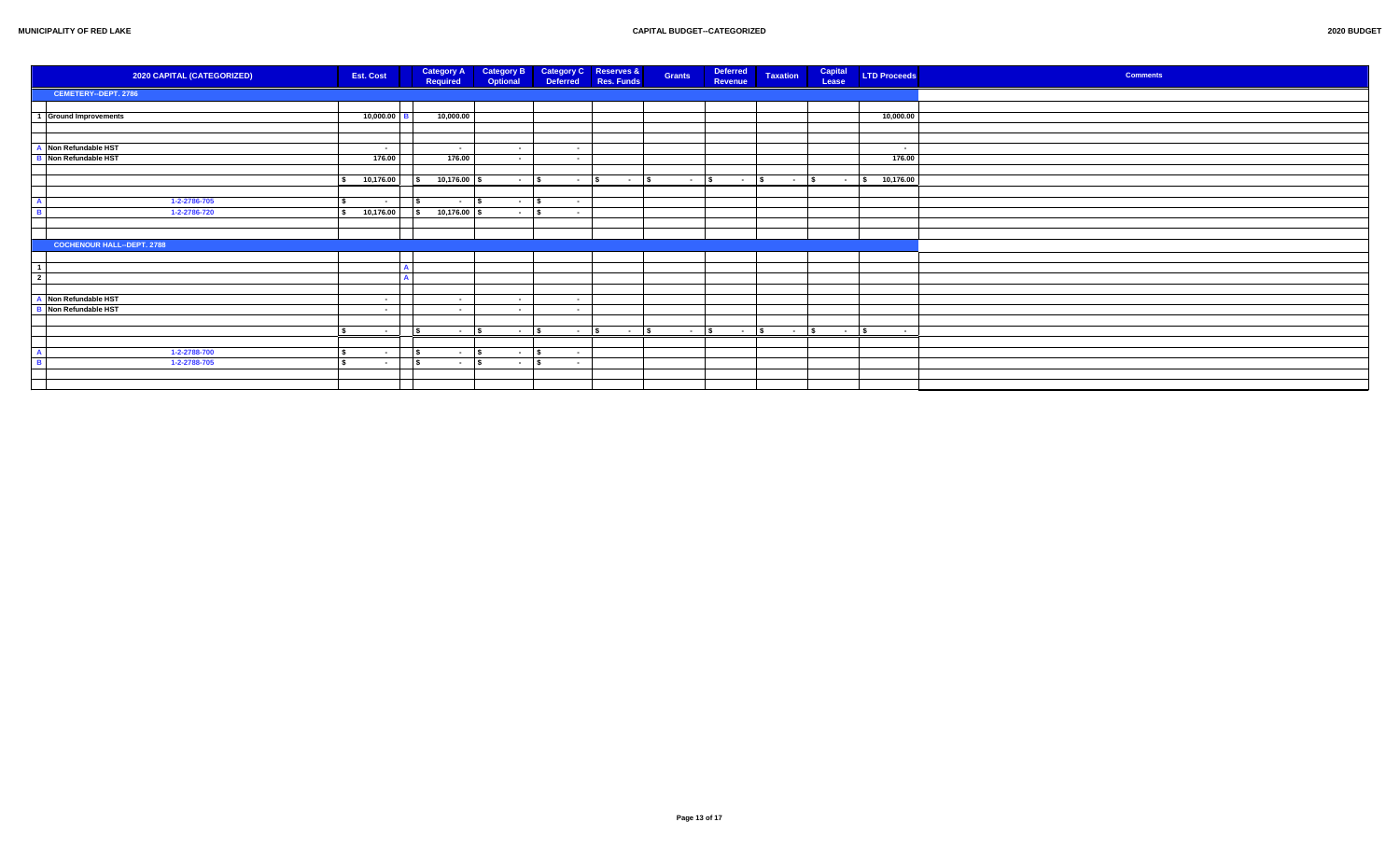| 2020 CAPITAL (CATEGORIZED)        | <b>Est. Cost</b> | <b>Category A</b><br>Required      | <b>Category B</b><br>Optional | <b>Category C</b><br><b>Reserves &amp;</b><br>Deferred<br>Res. Funds | Grants      | Deferred<br>Taxation<br>Revenue | Capital<br><b>LTD Proceeds</b><br>Lease | <b>Comments</b> |
|-----------------------------------|------------------|------------------------------------|-------------------------------|----------------------------------------------------------------------|-------------|---------------------------------|-----------------------------------------|-----------------|
| CEMETERY--DEPT. 2786              |                  |                                    |                               |                                                                      |             |                                 |                                         |                 |
|                                   |                  |                                    |                               |                                                                      |             |                                 |                                         |                 |
| 1 Ground Improvements             | 10,000.00        | 10,000.00                          |                               |                                                                      |             |                                 | 10,000.00                               |                 |
|                                   |                  |                                    |                               |                                                                      |             |                                 |                                         |                 |
|                                   |                  |                                    |                               |                                                                      |             |                                 |                                         |                 |
| A Non Refundable HST              | $\sim$           | $\sim$                             | $\sim 100$                    | $\sim$ $-$                                                           |             |                                 | $\sim$                                  |                 |
| <b>B</b> Non Refundable HST       | 176.00           | 176.00                             | $\sim$ $-$                    | $\sim$ $-$                                                           |             |                                 | 176.00                                  |                 |
|                                   |                  |                                    |                               |                                                                      |             |                                 |                                         |                 |
|                                   | 10,176.00        | 10,176.00 \$                       | $ \sqrt{s}$                   | $\sim$ $\sim$ $\sim$ $\sim$<br>$\sim$ $\sim$ $\sim$                  |             |                                 | 10,176.00                               |                 |
|                                   |                  |                                    |                               |                                                                      |             |                                 |                                         |                 |
| 1-2-2786-705                      | $\sim$           | $\overline{\phantom{a}}$<br>$\sim$ | l s<br><b>Contract</b>        | \$.<br>$\sim$ $-$                                                    |             |                                 |                                         |                 |
| 1-2-2786-720                      | 10,176.00        | $10,176.00$ \$<br>$\sim$           | $ \sqrt{s}$                   | $\sim$ 100 $\mu$                                                     |             |                                 |                                         |                 |
|                                   |                  |                                    |                               |                                                                      |             |                                 |                                         |                 |
|                                   |                  |                                    |                               |                                                                      |             |                                 |                                         |                 |
| <b>COCHENOUR HALL--DEPT. 2788</b> |                  |                                    |                               |                                                                      |             |                                 |                                         |                 |
|                                   |                  |                                    |                               |                                                                      |             |                                 |                                         |                 |
|                                   |                  |                                    |                               |                                                                      |             |                                 |                                         |                 |
| $\overline{2}$                    |                  |                                    |                               |                                                                      |             |                                 |                                         |                 |
|                                   |                  |                                    |                               |                                                                      |             |                                 |                                         |                 |
| A Non Refundable HST              | $\sim$           | $\sim$                             | $\sim$                        | $\sim$ $-$                                                           |             |                                 |                                         |                 |
| <b>B</b> Non Refundable HST       | $\sim$           | $\sim$                             | $\sim$                        | $\sim$ 100 $\mu$                                                     |             |                                 |                                         |                 |
|                                   |                  |                                    |                               |                                                                      |             |                                 |                                         |                 |
|                                   | $\sim$ $-$       | $\mathsf{s}$<br>$ \sqrt{s}$        | <b>Contract Contract</b>      | $ s$<br>$ s$<br>$\epsilon$                                           | $ \sqrt{5}$ |                                 | $\sim$ 100 $\pm$                        |                 |
|                                   |                  |                                    |                               |                                                                      |             |                                 |                                         |                 |
| 1-2-2788-700                      | $\sim$           | l S<br>$\sim$                      | l S<br><b>Contract</b>        | $\sim$ $-$                                                           |             |                                 |                                         |                 |
| 1-2-2788-705                      | $\sim$           | $\overline{\phantom{a}}$<br>$\sim$ | l s<br>$\sim$ $-$             | $\sim$                                                               |             |                                 |                                         |                 |
|                                   |                  |                                    |                               |                                                                      |             |                                 |                                         |                 |
|                                   |                  |                                    |                               |                                                                      |             |                                 |                                         |                 |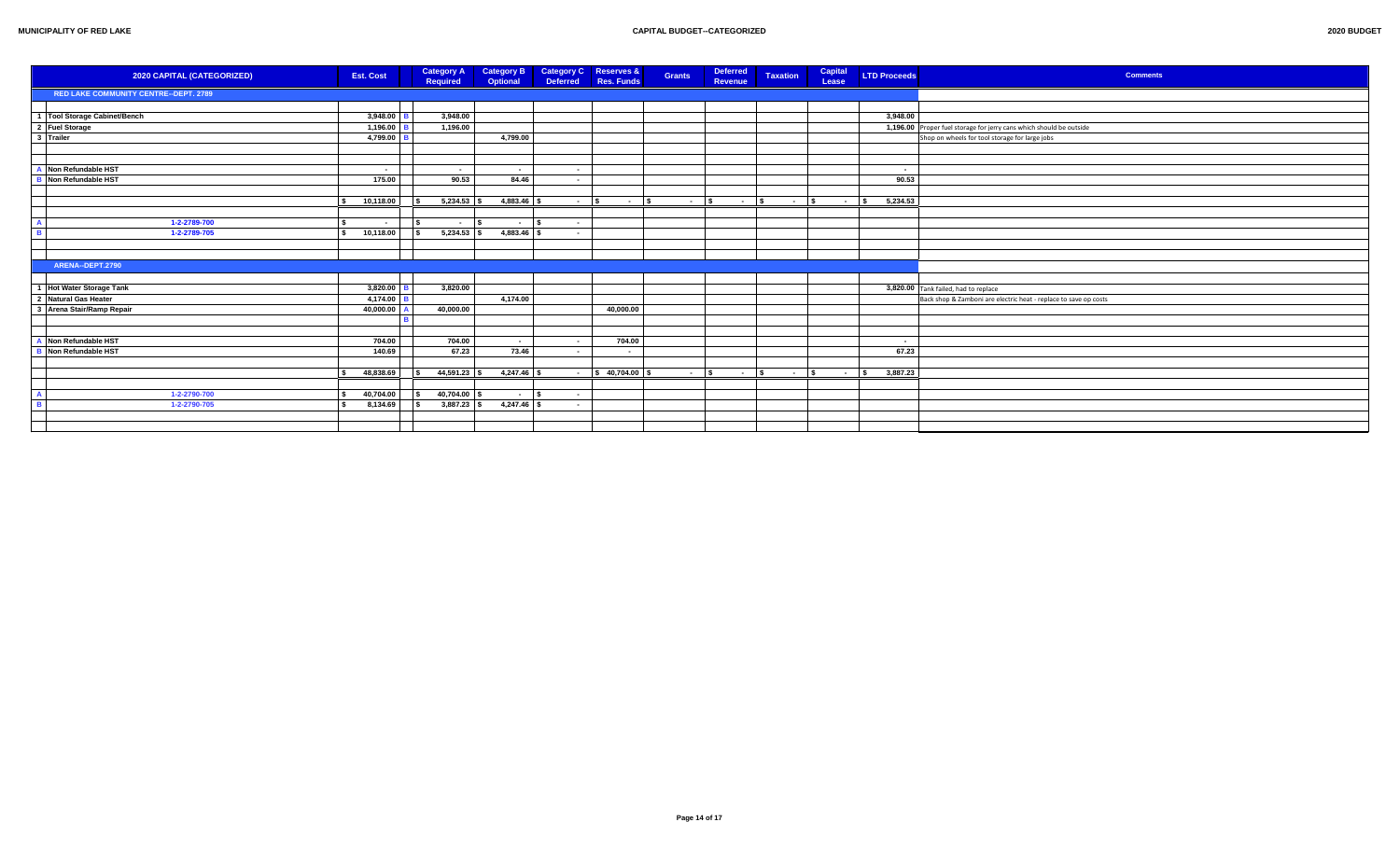|                         | 2020 CAPITAL (CATEGORIZED)            | <b>Est. Cost</b> | <b>Category A</b><br>Required             | <b>Category B</b><br><b>Optional</b> | <b>Category C</b><br><b>Deferred</b> | <b>Reserves &amp;</b><br>Res. Funds | <b>Grants</b>                   | <b>Deferred</b><br>Revenue | <b>Taxation</b> | Capital<br>Lease | <b>LTD Proceeds</b>  | <b>Comments</b>                                                     |
|-------------------------|---------------------------------------|------------------|-------------------------------------------|--------------------------------------|--------------------------------------|-------------------------------------|---------------------------------|----------------------------|-----------------|------------------|----------------------|---------------------------------------------------------------------|
|                         | RED LAKE COMMUNITY CENTRE--DEPT. 2789 |                  |                                           |                                      |                                      |                                     |                                 |                            |                 |                  |                      |                                                                     |
|                         |                                       |                  |                                           |                                      |                                      |                                     |                                 |                            |                 |                  |                      |                                                                     |
|                         | 1 Tool Storage Cabinet/Bench          | 3,948.00         | 3,948.00                                  |                                      |                                      |                                     |                                 |                            |                 |                  | 3,948.00             |                                                                     |
|                         |                                       | 1,196.00         | 1,196.00                                  |                                      |                                      |                                     |                                 |                            |                 |                  |                      | 1,196.00 Proper fuel storage for jerry cans which should be outside |
|                         | 2 Fuel Storage                        | 4,799.00         |                                           | 4,799.00                             |                                      |                                     |                                 |                            |                 |                  |                      | Shop on wheels for tool storage for large jobs                      |
|                         |                                       |                  |                                           |                                      |                                      |                                     |                                 |                            |                 |                  |                      |                                                                     |
|                         |                                       |                  |                                           |                                      |                                      |                                     |                                 |                            |                 |                  |                      |                                                                     |
|                         | A Non Refundable HST                  | $\sim$           | $\sim$                                    | $\sim$                               | $\sim$ $-$                           |                                     |                                 |                            |                 |                  | $\sim$               |                                                                     |
|                         | <b>B</b> Non Refundable HST           | 175.00           | 90.53                                     | 84.46                                | $\sim$                               |                                     |                                 |                            |                 |                  | 90.53                |                                                                     |
|                         |                                       |                  |                                           |                                      |                                      |                                     |                                 |                            |                 |                  |                      |                                                                     |
|                         |                                       | 10,118.00        | $5,234.53$ \$<br>$\overline{\phantom{a}}$ | 4,883.46                             | $\sim$ $-$                           | $\overline{\phantom{a}}$<br>$\sim$  | $\overline{\mathbf{s}}$<br>$ s$ | $ s$                       | $ \sqrt{s}$     | $\sim$ $-$       | 5,234.53<br><b>S</b> |                                                                     |
|                         |                                       |                  |                                           |                                      |                                      |                                     |                                 |                            |                 |                  |                      |                                                                     |
|                         | 1-2-2789-700                          | $\sim$           | l s<br>$\sim$                             | $\overline{\phantom{a}}$<br>$ \sim$  | $\sim$ $-$                           |                                     |                                 |                            |                 |                  |                      |                                                                     |
| $\overline{\mathbf{B}}$ | 1-2-2789-705                          | 10,118.00        | $5,234.53$ \$<br>$\overline{\phantom{a}}$ | 4,883.46 \$                          | $\sim$                               |                                     |                                 |                            |                 |                  |                      |                                                                     |
|                         |                                       |                  |                                           |                                      |                                      |                                     |                                 |                            |                 |                  |                      |                                                                     |
|                         |                                       |                  |                                           |                                      |                                      |                                     |                                 |                            |                 |                  |                      |                                                                     |
|                         | ARENA--DEPT.2790                      |                  |                                           |                                      |                                      |                                     |                                 |                            |                 |                  |                      |                                                                     |
|                         |                                       |                  |                                           |                                      |                                      |                                     |                                 |                            |                 |                  |                      |                                                                     |
|                         | 1 Hot Water Storage Tank              | 3,820.00         | 3,820.00                                  |                                      |                                      |                                     |                                 |                            |                 |                  |                      | 3,820.00 Tank failed, had to replace                                |
|                         | 2 Natural Gas Heater                  | 4,174.00         |                                           | 4,174.00                             |                                      |                                     |                                 |                            |                 |                  |                      | Back shop & Zamboni are electric heat - replace to save op costs    |
|                         | 3 Arena Stair/Ramp Repair             | 40,000.00        | 40,000.00                                 |                                      |                                      | 40,000.00                           |                                 |                            |                 |                  |                      |                                                                     |
|                         |                                       |                  |                                           |                                      |                                      |                                     |                                 |                            |                 |                  |                      |                                                                     |
|                         |                                       |                  |                                           |                                      |                                      |                                     |                                 |                            |                 |                  |                      |                                                                     |
|                         | A Non Refundable HST                  | 704.00           | 704.00                                    | $\sim$                               | $\sim$                               | 704.00                              |                                 |                            |                 |                  | $\sim$               |                                                                     |
|                         | <b>B</b> Non Refundable HST           | 140.69           | 67.23                                     | 73.46                                | $\sim$                               | $\sim$                              |                                 |                            |                 |                  | 67.23                |                                                                     |
|                         |                                       |                  |                                           |                                      |                                      |                                     |                                 |                            |                 |                  |                      |                                                                     |
|                         |                                       | 48,838.69        | 44,591.23 \$<br>l s                       | 4,247.46 \$                          | $\sim$ $-$                           | \$40,704.00                         | $\sim 100$                      | ∣\$.<br>$\sim 100$         | $\sim 100$      | $\sim$           | 3,887.23<br>l s      |                                                                     |
|                         |                                       |                  |                                           |                                      |                                      |                                     |                                 |                            |                 |                  |                      |                                                                     |
|                         | 1-2-2790-700                          | 40,704.00        | 40,704.00 \$<br>$\overline{\phantom{a}}$  | $\sim$ $\sim$                        | $\sim$                               |                                     |                                 |                            |                 |                  |                      |                                                                     |
|                         | 1-2-2790-705                          | 8,134.69         | $3,887.23$ \$<br><b>IS</b>                | 4,247.46 \$                          | $\sim$ $-$                           |                                     |                                 |                            |                 |                  |                      |                                                                     |
|                         |                                       |                  |                                           |                                      |                                      |                                     |                                 |                            |                 |                  |                      |                                                                     |
|                         |                                       |                  |                                           |                                      |                                      |                                     |                                 |                            |                 |                  |                      |                                                                     |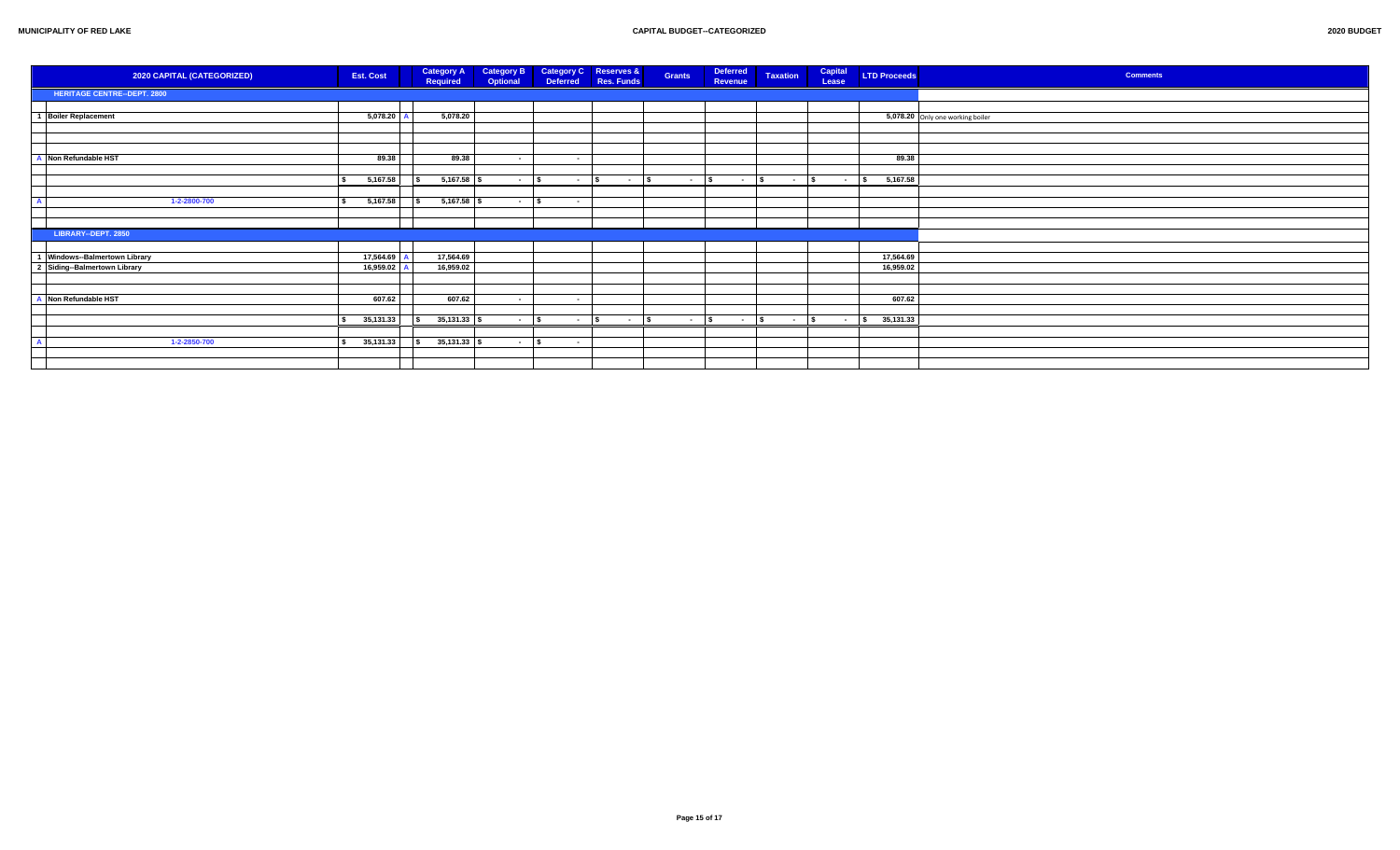| 2020 CAPITAL (CATEGORIZED)         | <b>Est. Cost</b> | <b>Category A</b><br>Required | <b>Category B</b><br>Optional | <b>Deferred</b>          | Category C Reserves &<br>Res. Funds | <b>Grants</b> | <b>Deferred</b><br><b>Revenue</b> | <b>Taxation</b> | Capital<br>Lease | <b>LTD Proceeds</b> | <b>Comments</b>                  |
|------------------------------------|------------------|-------------------------------|-------------------------------|--------------------------|-------------------------------------|---------------|-----------------------------------|-----------------|------------------|---------------------|----------------------------------|
| <b>HERITAGE CENTRE--DEPT. 2800</b> |                  |                               |                               |                          |                                     |               |                                   |                 |                  |                     |                                  |
|                                    |                  |                               |                               |                          |                                     |               |                                   |                 |                  |                     |                                  |
| 1 Boiler Replacement               | 5,078.20         | 5,078.20                      |                               |                          |                                     |               |                                   |                 |                  |                     | 5,078.20 Only one working boiler |
|                                    |                  |                               |                               |                          |                                     |               |                                   |                 |                  |                     |                                  |
|                                    |                  |                               |                               |                          |                                     |               |                                   |                 |                  |                     |                                  |
|                                    |                  |                               |                               |                          |                                     |               |                                   |                 |                  |                     |                                  |
| Non Refundable HST                 | 89.38            | 89.38                         | $\sim$ $-$                    | $\sim$ $-$               |                                     |               |                                   |                 |                  | 89.38               |                                  |
|                                    |                  |                               |                               |                          |                                     |               |                                   |                 |                  |                     |                                  |
|                                    | 5,167.58         | $5,167.58$ \$                 | $\sim 10^{-11}$               | $ \sqrt{s}$              | $\sim$ s                            | $ s$          | $-$ \$                            | $ s$            | $-$ \$           | 5,167.58            |                                  |
|                                    |                  |                               |                               |                          |                                     |               |                                   |                 |                  |                     |                                  |
| 1-2-2800-700                       | 5,167.58         | $5,167.58$ \$                 | $\sim$                        | $\sim$ $-$               |                                     |               |                                   |                 |                  |                     |                                  |
|                                    |                  |                               |                               |                          |                                     |               |                                   |                 |                  |                     |                                  |
|                                    |                  |                               |                               |                          |                                     |               |                                   |                 |                  |                     |                                  |
| LIBRARY--DEPT. 2850                |                  |                               |                               |                          |                                     |               |                                   |                 |                  |                     |                                  |
|                                    |                  |                               |                               |                          |                                     |               |                                   |                 |                  |                     |                                  |
| 1 Windows--Balmertown Library      | 17,564.69        | 17,564.69                     |                               |                          |                                     |               |                                   |                 |                  | 17,564.69           |                                  |
| 2 Siding-Balmertown Library        | 16,959.02        | 16,959.02                     |                               |                          |                                     |               |                                   |                 |                  | 16,959.02           |                                  |
|                                    |                  |                               |                               |                          |                                     |               |                                   |                 |                  |                     |                                  |
|                                    |                  |                               |                               |                          |                                     |               |                                   |                 |                  |                     |                                  |
| Non Refundable HST                 | 607.62           | 607.62                        | $\sim$                        | $\sim$ $-$               |                                     |               |                                   |                 |                  | 607.62              |                                  |
|                                    | 35,131.33        | $35,131.33$ \$                |                               | <b>Contract Contract</b> | ١s<br>$\sim 100$ km s $^{-1}$       |               |                                   |                 |                  | 35,131.33           |                                  |
|                                    |                  |                               | $\sim 100$ m $^{-1}$          |                          |                                     |               |                                   |                 |                  |                     |                                  |
|                                    |                  |                               |                               |                          |                                     |               |                                   |                 |                  |                     |                                  |
| 1-2-2850-700                       | 35,131.33        | $35,131.33$ \$                | $\sim$ $-$                    | $\sim$ 100 $\pm$         |                                     |               |                                   |                 |                  |                     |                                  |
|                                    |                  |                               |                               |                          |                                     |               |                                   |                 |                  |                     |                                  |
|                                    |                  |                               |                               |                          |                                     |               |                                   |                 |                  |                     |                                  |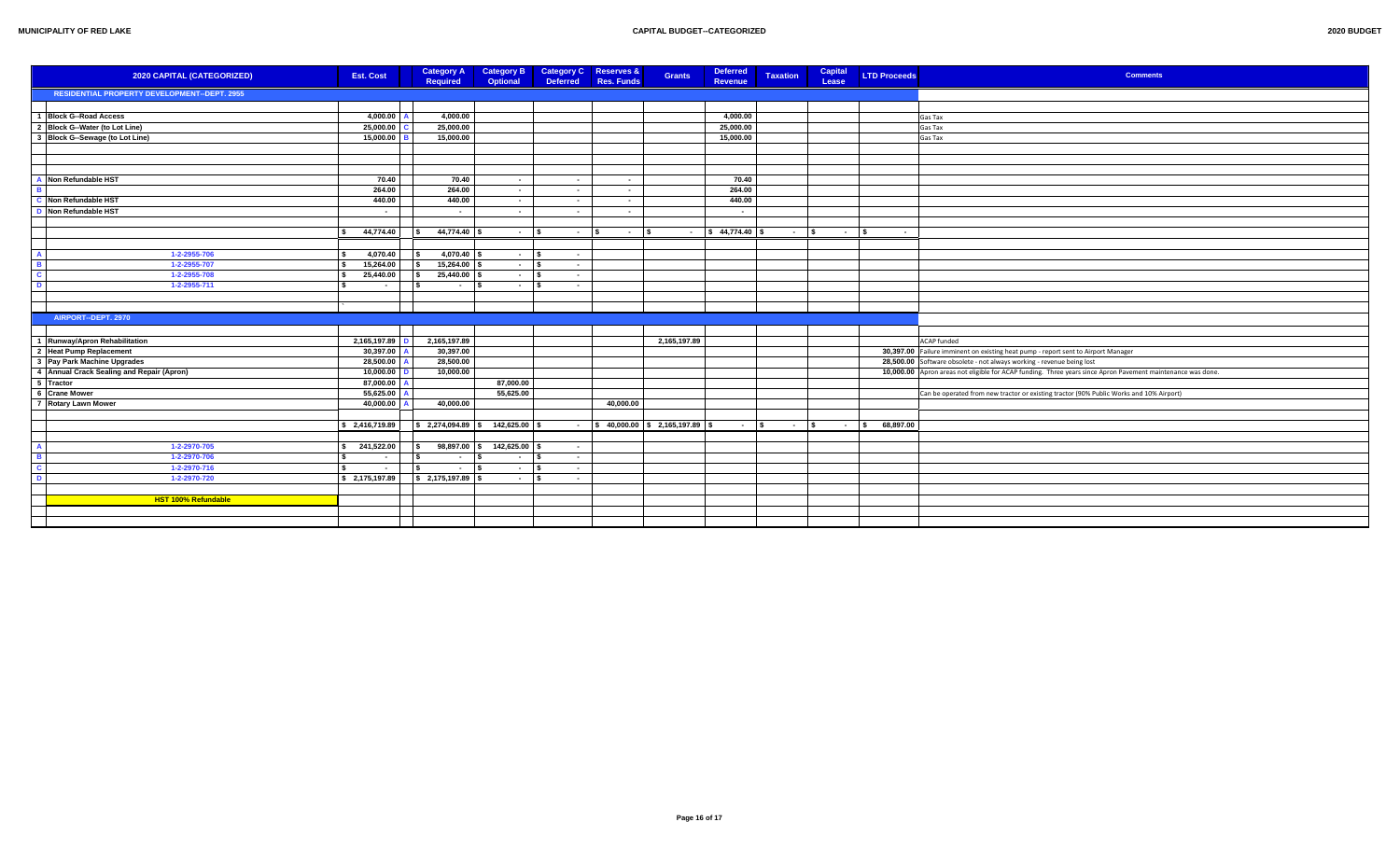| 2020 CAPITAL (CATEGORIZED)                          | <b>Est. Cost</b>                                   | <b>Category A</b><br><b>Required</b>               | <b>Category B</b><br>Optional | <b>Category C</b> Reserves &<br><b>Deferred</b> | Res. Funds | <b>Deferred</b><br><b>Grants</b><br><b>Revenue</b> |                                    | <b>Taxation</b>      | Capital<br>Lease | <b>LTD Proceeds</b> | <b>Comments</b>                                                                                             |
|-----------------------------------------------------|----------------------------------------------------|----------------------------------------------------|-------------------------------|-------------------------------------------------|------------|----------------------------------------------------|------------------------------------|----------------------|------------------|---------------------|-------------------------------------------------------------------------------------------------------------|
| <b>RESIDENTIAL PROPERTY DEVELOPMENT--DEPT. 2955</b> |                                                    |                                                    |                               |                                                 |            |                                                    |                                    |                      |                  |                     |                                                                                                             |
|                                                     |                                                    |                                                    |                               |                                                 |            |                                                    |                                    |                      |                  |                     |                                                                                                             |
| 1 Block G-Road Access                               | 4,000.00                                           | 4,000.00                                           |                               |                                                 |            |                                                    | 4,000.00                           |                      |                  |                     | Gas Tax                                                                                                     |
| 2 Block G--Water (to Lot Line)                      | 25,000.00                                          | 25,000.00                                          |                               |                                                 |            | 25,000.00                                          |                                    |                      |                  |                     | Gas Tax                                                                                                     |
| 3 Block G--Sewage (to Lot Line)                     | 15,000.00                                          | 15,000.00                                          |                               |                                                 |            | 15,000.00                                          |                                    |                      |                  |                     | Gas Tax                                                                                                     |
|                                                     |                                                    |                                                    |                               |                                                 |            |                                                    |                                    |                      |                  |                     |                                                                                                             |
|                                                     |                                                    |                                                    |                               |                                                 |            |                                                    |                                    |                      |                  |                     |                                                                                                             |
|                                                     |                                                    |                                                    |                               |                                                 |            |                                                    |                                    |                      |                  |                     |                                                                                                             |
| Non Refundable HST                                  | 70.40                                              | 70.40                                              | $\sim$                        | $\sim$                                          | $\sim$ $-$ |                                                    | 70.40                              |                      |                  |                     |                                                                                                             |
|                                                     | 264.00                                             | 264.00                                             | $\sim$                        | $\sim$                                          | $\sim$     |                                                    | 264.00                             |                      |                  |                     |                                                                                                             |
| C Non Refundable HST                                | 440.00                                             | 440.00                                             | $\sim$                        | $\sim$                                          | $\sim$     |                                                    | 440.00                             |                      |                  |                     |                                                                                                             |
| <b>D</b> Non Refundable HST                         | $\sim$                                             | $\sim$ $-$                                         | $\sim$ $-$                    | $\sim 100$                                      | $\sim$ $-$ |                                                    | $\sim$ $-$                         |                      |                  |                     |                                                                                                             |
|                                                     |                                                    |                                                    |                               |                                                 |            |                                                    |                                    |                      |                  |                     |                                                                                                             |
|                                                     | 44,774.40<br>$\ddot{\phantom{1}}$                  | 44,774.40<br>$\mathbf{s}$                          | $\sim$ $-$                    | $ \sim$<br>l S                                  | $ \sim$    | $\frac{1}{5}$ 44,774.40 \$                         |                                    | $\sim$ $\sim$ $\sim$ | $ \sqrt{s}$      | $\sim$ $-$          |                                                                                                             |
|                                                     |                                                    |                                                    |                               |                                                 |            |                                                    |                                    |                      |                  |                     |                                                                                                             |
| 1-2-2955-706                                        | 4,070.40<br>∣\$.                                   | $\mathbf{s}$                                       | $\sim$ $-$                    | ۱s<br>$\sim$                                    |            |                                                    |                                    |                      |                  |                     |                                                                                                             |
| 1-2-2955-707                                        | 15,264.00<br>l s                                   | $15,264.00$ \$<br>\$                               | $\sim$                        | l s<br>$\sim 100$                               |            |                                                    |                                    |                      |                  |                     |                                                                                                             |
| 1-2-2955-708                                        | 25,440.00                                          | $25,440.00$ \$<br>l S                              | $\sim$ $-$                    | l s<br>$\sim$ $-$                               |            |                                                    |                                    |                      |                  |                     |                                                                                                             |
| 1-2-2955-711                                        | $\sim$ 1                                           | $\overline{\phantom{a}}$<br>$ \sim$                | $\sim$ $-$                    | $\overline{\phantom{a}}$<br>$\sim 100$          |            |                                                    |                                    |                      |                  |                     |                                                                                                             |
|                                                     |                                                    |                                                    |                               |                                                 |            |                                                    |                                    |                      |                  |                     |                                                                                                             |
|                                                     |                                                    |                                                    |                               |                                                 |            |                                                    |                                    |                      |                  |                     |                                                                                                             |
| AIRPORT-DEPT. 2970                                  |                                                    |                                                    |                               |                                                 |            |                                                    |                                    |                      |                  |                     |                                                                                                             |
|                                                     |                                                    |                                                    |                               |                                                 |            |                                                    |                                    |                      |                  |                     |                                                                                                             |
| 1 Runway/Apron Rehabilitation                       | 2,165,197.89                                       | 2,165,197.89                                       |                               |                                                 |            | 2,165,197.89                                       |                                    |                      |                  |                     | <b>ACAP</b> funded                                                                                          |
| 2 Heat Pump Replacement                             | 30,397.00                                          | 30,397.00                                          |                               |                                                 |            |                                                    |                                    |                      |                  |                     | 30,397.00 Failure imminent on existing heat pump - report sent to Airport Manager                           |
| 3 Pay Park Machine Upgrades                         | 28,500.00                                          | 28,500.00                                          |                               |                                                 |            |                                                    |                                    |                      |                  |                     | 28,500.00 Software obsolete - not always working - revenue being lost                                       |
| 4 Annual Crack Sealing and Repair (Apron)           | 10,000.00<br>87.000.00                             | 10,000.00                                          |                               |                                                 |            |                                                    |                                    |                      |                  |                     | 10,000.00 Apron areas not eligible for ACAP funding. Three years since Apron Pavement maintenance was done. |
| 5 Tractor<br>6 Crane Mower                          | 55,625.00                                          |                                                    | 87,000.00<br>55,625.00        |                                                 |            |                                                    |                                    |                      |                  |                     | Can be operated from new tractor or existing tractor (90% Public Works and 10% Airport)                     |
| 7 Rotary Lawn Mower                                 | 40,000.00                                          | 40,000.00                                          |                               |                                                 | 40,000.00  |                                                    |                                    |                      |                  |                     |                                                                                                             |
|                                                     |                                                    |                                                    |                               |                                                 |            |                                                    |                                    |                      |                  |                     |                                                                                                             |
|                                                     | $\frac{1}{2}$ \$ 2,416,719.89                      | $\frac{1}{2}$ \$ 2,274,094.89 \ \$ 142,625.00 \ \$ |                               |                                                 |            | $\frac{1}{2}$ \$ 40,000.00 \$ 2,165,197.89 \$      | $ \vert s \vert$ - $\vert s \vert$ |                      | $ \sqrt{S}$      | 68,897.00           |                                                                                                             |
|                                                     |                                                    |                                                    |                               |                                                 |            |                                                    |                                    |                      |                  |                     |                                                                                                             |
| 1-2-2970-705                                        | \$241,522.00                                       | $\sqrt{S}$                                         | $98,897.00$ \$ 142,625.00 \$  | $\sim 100$                                      |            |                                                    |                                    |                      |                  |                     |                                                                                                             |
| 1-2-2970-706                                        | IS.<br>$\sim$ $\sim$                               | $\overline{\phantom{a}}$<br>$ \sqrt{s}$            | $\sim$ $-$                    | IS.<br>$\sim$ $-$                               |            |                                                    |                                    |                      |                  |                     |                                                                                                             |
| 1-2-2970-716                                        | l s<br>$\sim$ $\sim$ $\sim$                        | $\mathsf{S}$<br>$ \sqrt{s}$                        | $\sim$ $-$                    | l s<br>$\sim 100$                               |            |                                                    |                                    |                      |                  |                     |                                                                                                             |
| 1-2-2970-720                                        | $\vert$ \$ 2,175,197.89 $\vert$ \$ 2,175,197.89 \$ |                                                    | $\sim$                        | l s<br>$\sim$                                   |            |                                                    |                                    |                      |                  |                     |                                                                                                             |
|                                                     |                                                    |                                                    |                               |                                                 |            |                                                    |                                    |                      |                  |                     |                                                                                                             |
| HST 100% Refundable                                 |                                                    |                                                    |                               |                                                 |            |                                                    |                                    |                      |                  |                     |                                                                                                             |
|                                                     |                                                    |                                                    |                               |                                                 |            |                                                    |                                    |                      |                  |                     |                                                                                                             |
|                                                     |                                                    |                                                    |                               |                                                 |            |                                                    |                                    |                      |                  |                     |                                                                                                             |
|                                                     |                                                    |                                                    |                               |                                                 |            |                                                    |                                    |                      |                  |                     |                                                                                                             |